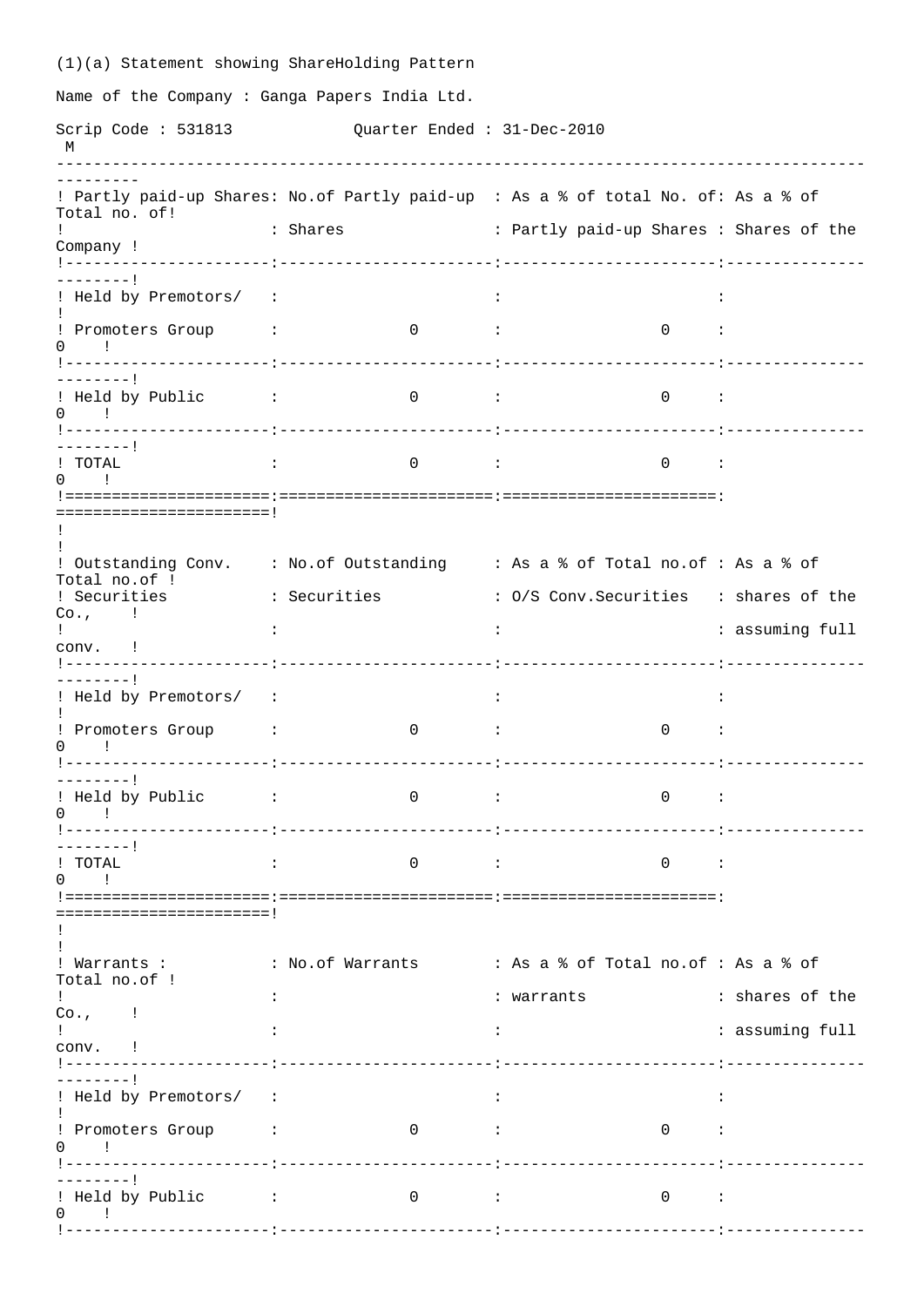(1)(a) Statement showing ShareHolding Pattern Name of the Company : Ganga Papers India Ltd. Scrip Code : 531813 Quarter Ended : 31-Dec-2010 M --------------------------------------------------------------------------------------- --------- ! Partly paid-up Shares: No.of Partly paid-up : As a % of total No. of: As a % of Total no. of! ! : Shares : Partly paid-up Shares : Shares of the Company ! !----------------------:-----------------------:-----------------------:--------------- --------! ! Held by Premotors/ : ! ! Promoters Group : 0 : 0 :  $0 \qquad$  ! !----------------------:-----------------------:-----------------------:--------------- --------! ! Held by Public : 0 : 0 :  $0 \quad \mathbf{1}$ !----------------------:-----------------------:-----------------------:--------------- --------! ! TOTAL : 0 : 0 :  $\Omega$   $\overline{\Omega}$   $\overline{\Omega}$ !======================:=======================:=======================: =======================! ! ! ! Outstanding Conv. : No.of Outstanding : As a % of Total no.of : As a % of Total no.of ! ! Securities : Securities : O/S Conv.Securities : shares of the Co., ! ! : : : assuming full conv. ! !----------------------:-----------------------:-----------------------:--------------- --------! ! Held by Premotors/ : : : ! ! Promoters Group : 0 : 0 :  $0$  !<br> $1$ -------!----------------------:-----------------------:-----------------------:--------------- --------! ! Held by Public : 0 : 0 : 0 ! !----------------------:-----------------------:-----------------------:--------------- ---------!<br>! TOTAL ! TOTAL : 0 : 0 : 0 ! !======================:=======================:=======================: =======================! ! !<br>! Warrants : : No.of Warrants : As a % of Total no.of : As a % of Total no.of ! ! : : warrants : shares of the  $Co.$ , ! ! : : : assuming full  $conv.$ !<br>!---------!----------------------:-----------------------:-----------------------:--------------- --------! ! Held by Premotors/ : : : ! ! Promoters Group : 0 : 0 : 0 ! !----------------------:-----------------------:-----------------------:--------------- --------! ! Held by Public : 0 : 0 : 0 ! !----------------------:-----------------------:-----------------------:---------------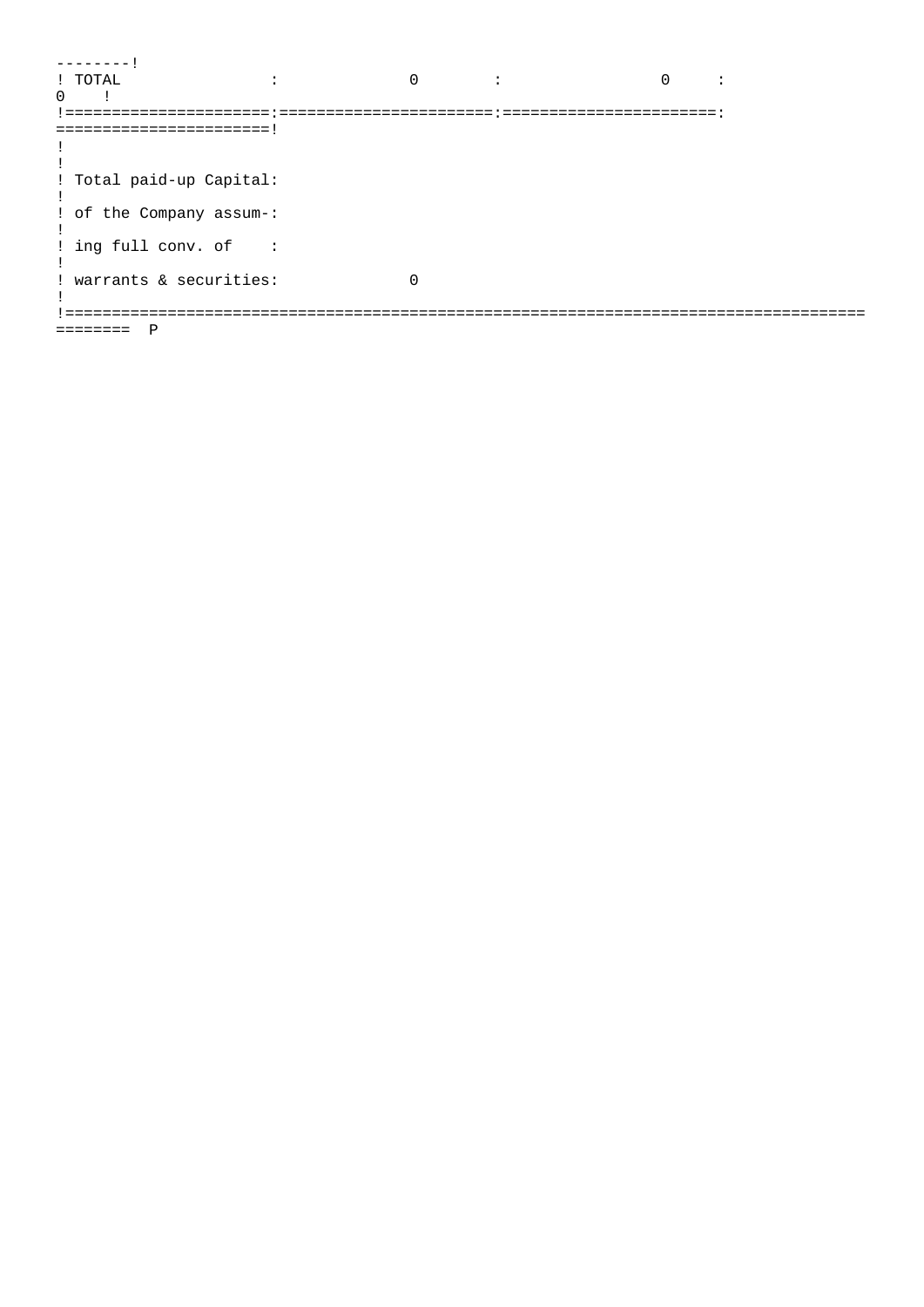```
------1\sim 10^{11} and \sim 10^{11}\begin{array}{ccccccccccccccccc} 0 & & & \vdots & & & & & 0 & & \vdots \end{array}! TOTAL
0 \qquad \qquad=========================
\pm\pm! Total paid-up Capital:
\perp! of the Company assum-:
\pm! ing full conv. of :
\pm! warrants & securities:
                             \overline{0}\mathbf{I}======== P
```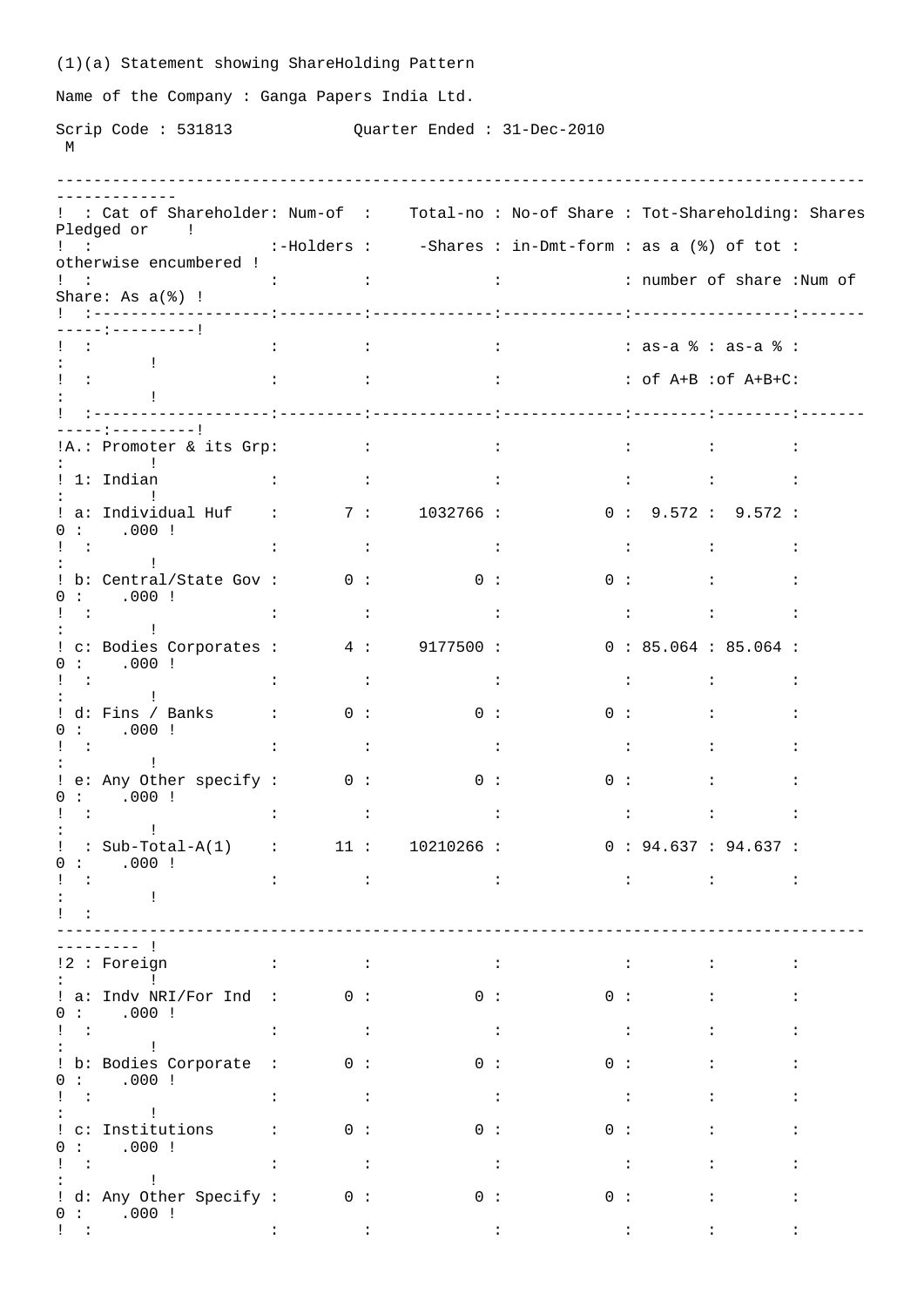|                                          | (1)(a) Statement showing ShareHolding Pattern                                                                                                                                                                                                                                                                                                                                                                          |                                                                         |                                               |                                                                 |                    |                                                                                                                                                                                                                                                                                                                   |                                   |                                                                                                                                                                                                                                                                               |                                              |  |  |
|------------------------------------------|------------------------------------------------------------------------------------------------------------------------------------------------------------------------------------------------------------------------------------------------------------------------------------------------------------------------------------------------------------------------------------------------------------------------|-------------------------------------------------------------------------|-----------------------------------------------|-----------------------------------------------------------------|--------------------|-------------------------------------------------------------------------------------------------------------------------------------------------------------------------------------------------------------------------------------------------------------------------------------------------------------------|-----------------------------------|-------------------------------------------------------------------------------------------------------------------------------------------------------------------------------------------------------------------------------------------------------------------------------|----------------------------------------------|--|--|
|                                          | Name of the Company: Ganga Papers India Ltd.                                                                                                                                                                                                                                                                                                                                                                           |                                                                         |                                               |                                                                 |                    |                                                                                                                                                                                                                                                                                                                   |                                   |                                                                                                                                                                                                                                                                               |                                              |  |  |
| M                                        |                                                                                                                                                                                                                                                                                                                                                                                                                        |                                                                         | Scrip Code: 531813 Quarter Ended: 31-Dec-2010 |                                                                 |                    |                                                                                                                                                                                                                                                                                                                   |                                   |                                                                                                                                                                                                                                                                               |                                              |  |  |
|                                          | : : Cat of Shareholder: Num-of : Total-no : No-of Share : Tot-Shareholding: Shares<br>Pledged or !                                                                                                                                                                                                                                                                                                                     |                                                                         |                                               |                                                                 |                    |                                                                                                                                                                                                                                                                                                                   |                                   |                                                                                                                                                                                                                                                                               |                                              |  |  |
|                                          | : : : : : : : -Holders : : - Shares : in-Dmt-form : as a (%) of tot :<br>otherwise encumbered !                                                                                                                                                                                                                                                                                                                        |                                                                         |                                               |                                                                 |                    |                                                                                                                                                                                                                                                                                                                   |                                   |                                                                                                                                                                                                                                                                               |                                              |  |  |
|                                          | ! :<br>Share: As a(%) !                                                                                                                                                                                                                                                                                                                                                                                                |                                                                         |                                               |                                                                 |                    |                                                                                                                                                                                                                                                                                                                   |                                   |                                                                                                                                                                                                                                                                               |                                              |  |  |
|                                          | ---:---------!                                                                                                                                                                                                                                                                                                                                                                                                         |                                                                         |                                               |                                                                 |                    |                                                                                                                                                                                                                                                                                                                   |                                   |                                                                                                                                                                                                                                                                               |                                              |  |  |
|                                          | <b>Carl Corporation</b><br>$\frac{1}{2}$                                                                                                                                                                                                                                                                                                                                                                               |                                                                         |                                               |                                                                 |                    | $\vdots$ : $\vdots$ : $\vdots$ : $\vdots$ : $\vdots$ : $\vdots$ : $\vdots$ : $\vdots$ : $\vdots$ : $\vdots$ : $\vdots$ : $\vdots$ : $\vdots$ : $\vdots$ : $\vdots$ : $\vdots$ : $\vdots$ : $\vdots$ : $\vdots$ : $\vdots$ : $\vdots$ : $\vdots$ : $\vdots$ : $\vdots$ : $\vdots$ : $\vdots$ : $\vdots$ : $\vdots$ |                                   |                                                                                                                                                                                                                                                                               |                                              |  |  |
|                                          | $\mathcal{L}(\mathbf{r})$ and $\mathcal{L}(\mathbf{r})$ .                                                                                                                                                                                                                                                                                                                                                              | <b>CENTER CONTRACTOR</b>                                                |                                               |                                                                 |                    | $\therefore$ $\qquad \qquad$ : $\circ$ f A+B $\circ$ cf A+B+C:                                                                                                                                                                                                                                                    |                                   |                                                                                                                                                                                                                                                                               |                                              |  |  |
|                                          | - - - - - : - - - - - - - - - !                                                                                                                                                                                                                                                                                                                                                                                        |                                                                         |                                               |                                                                 |                    |                                                                                                                                                                                                                                                                                                                   |                                   |                                                                                                                                                                                                                                                                               |                                              |  |  |
|                                          | <b>The Community</b>                                                                                                                                                                                                                                                                                                                                                                                                   |                                                                         |                                               |                                                                 |                    |                                                                                                                                                                                                                                                                                                                   |                                   |                                                                                                                                                                                                                                                                               | $\ddot{\phantom{a}}$                         |  |  |
|                                          | ! 1: Indian<br>the control of the control of the con-<br><b>Contract Contract</b>                                                                                                                                                                                                                                                                                                                                      |                                                                         |                                               | and the control of the control of                               |                    |                                                                                                                                                                                                                                                                                                                   |                                   | $\mathcal{L} = \mathcal{L} \mathcal{L} = \mathcal{L} \mathcal{L} = \mathcal{L} \mathcal{L} = \mathcal{L} \mathcal{L} = \mathcal{L} \mathcal{L} = \mathcal{L} \mathcal{L}$                                                                                                     |                                              |  |  |
|                                          | ! a: Individual Huf    :         7 :       1032766 :                0 :   9.572 :   9.572 :<br>0: 000:                                                                                                                                                                                                                                                                                                                 |                                                                         |                                               |                                                                 |                    |                                                                                                                                                                                                                                                                                                                   |                                   |                                                                                                                                                                                                                                                                               |                                              |  |  |
| $\mathbf{I}$ and $\mathbf{I}$            | and the control of the<br>: b: Central/State Gov: 0:                                                                                                                                                                                                                                                                                                                                                                   | $\mathbf{1}$ , and $\mathbf{1}$ , and $\mathbf{1}$ , and $\mathbf{1}$   |                                               | $\sim 100$ GeV<br>$\begin{array}{ccc} & 0 & \vdots \end{array}$ |                    |                                                                                                                                                                                                                                                                                                                   |                                   | $\mathcal{L}^{\mathcal{L}}(\mathbf{1},\mathbf{1})$ , and the set of the set of the set of the set of the set of the set of the set of the set of the set of the set of the set of the set of the set of the set of the set of the set of the set of<br>$0:$ $\qquad \qquad :$ | $\ddot{\phantom{a}}$                         |  |  |
| $\mathbf{1}$ $\mathbf{1}$                | 0: 000:<br>$\sim$ 1.1                                                                                                                                                                                                                                                                                                                                                                                                  | <b>Contract Contract</b>                                                |                                               | $\sim 100$ M $_\odot$                                           |                    |                                                                                                                                                                                                                                                                                                                   |                                   | $\mathcal{L} = \mathcal{L} \mathcal{L} = \mathcal{L} \mathcal{L} = \mathcal{L} \mathcal{L} = \mathcal{L} \mathcal{L} = \mathcal{L} \mathcal{L} = \mathcal{L} \mathcal{L}$                                                                                                     | $\ddot{\phantom{0}}$                         |  |  |
|                                          | $\sim 10^{-10}$<br>! c: Bodies Corporates : 4: 9177500 : 0: 85.064 : 85.064 :                                                                                                                                                                                                                                                                                                                                          |                                                                         |                                               |                                                                 |                    |                                                                                                                                                                                                                                                                                                                   |                                   |                                                                                                                                                                                                                                                                               |                                              |  |  |
| $\mathbf{1}$ $\mathbf{1}$                | 0: 000:                                                                                                                                                                                                                                                                                                                                                                                                                | $\mathbf{1}$ , $\mathbf{1}$<br><b>Contractor</b>                        |                                               |                                                                 | $\sim$ 1.          |                                                                                                                                                                                                                                                                                                                   |                                   | <b>Contract Contract Contract Contract</b>                                                                                                                                                                                                                                    |                                              |  |  |
|                                          | $\mathbb{R}^n$ and $\mathbb{R}^n$<br>! d: Fins / Banks : 0 :<br>0: 000:                                                                                                                                                                                                                                                                                                                                                |                                                                         |                                               |                                                                 | 0:                 |                                                                                                                                                                                                                                                                                                                   |                                   | $0:$ $\qquad \qquad :$                                                                                                                                                                                                                                                        | $\ddot{\phantom{a}}$                         |  |  |
| $\mathbf{1}$ $\mathbf{1}$                | $\sim 10^{-10}$ .                                                                                                                                                                                                                                                                                                                                                                                                      | $\ddot{\phantom{a}}$                                                    | $\ddot{\phantom{a}}$                          |                                                                 | $\cdot$ :          |                                                                                                                                                                                                                                                                                                                   | $\mathbf{L}$                      | $\ddot{\phantom{a}}$                                                                                                                                                                                                                                                          | $\ddot{\phantom{a}}$                         |  |  |
|                                          | ! e: Any Other specify : 0 : 0 :<br>0: 000:                                                                                                                                                                                                                                                                                                                                                                            |                                                                         |                                               |                                                                 |                    |                                                                                                                                                                                                                                                                                                                   | 0:                                |                                                                                                                                                                                                                                                                               |                                              |  |  |
| $\sim 1000$                              | $\sim 10^{-10}$ .                                                                                                                                                                                                                                                                                                                                                                                                      | $\mathbf{L}$                                                            | $\sim 10^{-10}$ GeV                           |                                                                 | $\sim$ 1.100 $\pm$ |                                                                                                                                                                                                                                                                                                                   | <b>Contract Contract Contract</b> |                                                                                                                                                                                                                                                                               |                                              |  |  |
|                                          | : Sub-Total-A(1) : $11: 10210266$ :<br>0: 000:                                                                                                                                                                                                                                                                                                                                                                         |                                                                         |                                               |                                                                 |                    |                                                                                                                                                                                                                                                                                                                   |                                   | 0: 94.637: 94.637:                                                                                                                                                                                                                                                            |                                              |  |  |
| $\sim 1000$<br>$\mathbf{1}$ $\mathbf{1}$ | $\mathbf{I}$                                                                                                                                                                                                                                                                                                                                                                                                           | $\ddot{\phantom{a}}$                                                    | $\sim$ 1.1                                    | $\sim$ $\sim$ $\sim$ $\sim$                                     |                    |                                                                                                                                                                                                                                                                                                                   |                                   | $\mathcal{L}^{\mathcal{L}}$ . The set of the set of the set of the set of the set of the set of the set of the set of the set of the set of the set of the set of the set of the set of the set of the set of the set of the set of the s                                     |                                              |  |  |
|                                          |                                                                                                                                                                                                                                                                                                                                                                                                                        |                                                                         |                                               |                                                                 |                    |                                                                                                                                                                                                                                                                                                                   |                                   |                                                                                                                                                                                                                                                                               |                                              |  |  |
|                                          | !2 : Foreign<br>$\mathbf{1}$ and $\mathbf{1}$ and $\mathbf{1}$ and $\mathbf{1}$                                                                                                                                                                                                                                                                                                                                        | <b>Dealers</b>                                                          | $\sim 100$ km s $^{-1}$                       |                                                                 | $\sim 100$         |                                                                                                                                                                                                                                                                                                                   | $\mathbf{1}$                      | $\ddot{\phantom{a}}$                                                                                                                                                                                                                                                          | $\ddot{\phantom{a}}$                         |  |  |
|                                          | : a: Indv NRI/For Ind : 0:<br>0: 000:                                                                                                                                                                                                                                                                                                                                                                                  |                                                                         |                                               |                                                                 | 0:                 |                                                                                                                                                                                                                                                                                                                   | 0:                                | $\ddot{\phantom{a}}$                                                                                                                                                                                                                                                          |                                              |  |  |
| $1 - 1 - 1$                              | $\mathbb{E}[\mathbb{E}[\mathbb{E}[\mathbb{E}[\mathbb{E}[\mathbb{E}[\mathbb{E}[\mathbb{E}[\mathbb{E}[\mathbb{E}[\mathbb{E}[\mathbb{E}[\mathbb{E}[\mathbb{E}[\mathbb{E}[\mathbb{E}[\mathbb{E}[\mathbb{E}[\mathbb{E}[\mathbb{E}[\mathbb{E}[\mathbb{E}[\mathbb{E}[\mathbb{E}[\mathbb{E}[\mathbb{E}[\mathbb{E}[\mathbb{E}[\mathbb{E}[\mathbb{E}[\mathbb{E}[\mathbb{E}[\mathbb{E}[\mathbb{E}[\mathbb{E}[\mathbb{E}[\mathbb{$ | $\ddot{\phantom{a}}$<br>$\sim 100$ M $_\odot$                           |                                               |                                                                 | $\sim 100$         | $\sim 100$ M $_\odot$                                                                                                                                                                                                                                                                                             |                                   | $\ddot{\cdot}$                                                                                                                                                                                                                                                                | $\ddot{\phantom{a}}$                         |  |  |
|                                          | ! b: Bodies Corporate : 0 :<br>0: 000:                                                                                                                                                                                                                                                                                                                                                                                 |                                                                         |                                               |                                                                 | 0:                 |                                                                                                                                                                                                                                                                                                                   | 0 :                               | $\ddot{\phantom{0}}$                                                                                                                                                                                                                                                          | $\ddot{\phantom{a}}$                         |  |  |
| $\mathbf{1}$ $\mathbf{1}$                | $\sim 10^{-10}$ and $\sim 10^{-10}$                                                                                                                                                                                                                                                                                                                                                                                    | $\ddot{\phantom{a}}$                                                    | $\sim$ 100 $\pm$                              |                                                                 | $\sim$ 1.100 $\pm$ | $\sim 100$                                                                                                                                                                                                                                                                                                        |                                   | $\ddot{\phantom{a}}$                                                                                                                                                                                                                                                          | $\ddot{\phantom{a}}$                         |  |  |
|                                          | 0: 000:                                                                                                                                                                                                                                                                                                                                                                                                                |                                                                         | 0:                                            |                                                                 | 0:                 |                                                                                                                                                                                                                                                                                                                   | 0:                                | $\ddot{\phantom{a}}$                                                                                                                                                                                                                                                          | $\ddot{\phantom{a}}$                         |  |  |
| $1 - 1$                                  | $\mathbf{1} \qquad \qquad \mathbf{1} \qquad \qquad \mathbf{1}$<br>! d: Any Other Specify :                                                                                                                                                                                                                                                                                                                             | $\ddot{\phantom{a}}$<br>$\begin{array}{ccc} & & 0 & \vdots \end{array}$ | $\sim 100$                                    |                                                                 | $\sim$ 1.<br>0:    | $\sim$ 10 $\sim$<br>0:                                                                                                                                                                                                                                                                                            |                                   | $\ddot{\phantom{0}}$                                                                                                                                                                                                                                                          | $\ddot{\phantom{a}}$<br>$\ddot{\phantom{a}}$ |  |  |
| $\mathbf{I}$ $\mathbf{I}$                | $\begin{matrix} 0 & \vdots & & \end{matrix} \quad . \quad 000 \quad !$                                                                                                                                                                                                                                                                                                                                                 |                                                                         |                                               |                                                                 |                    |                                                                                                                                                                                                                                                                                                                   |                                   |                                                                                                                                                                                                                                                                               |                                              |  |  |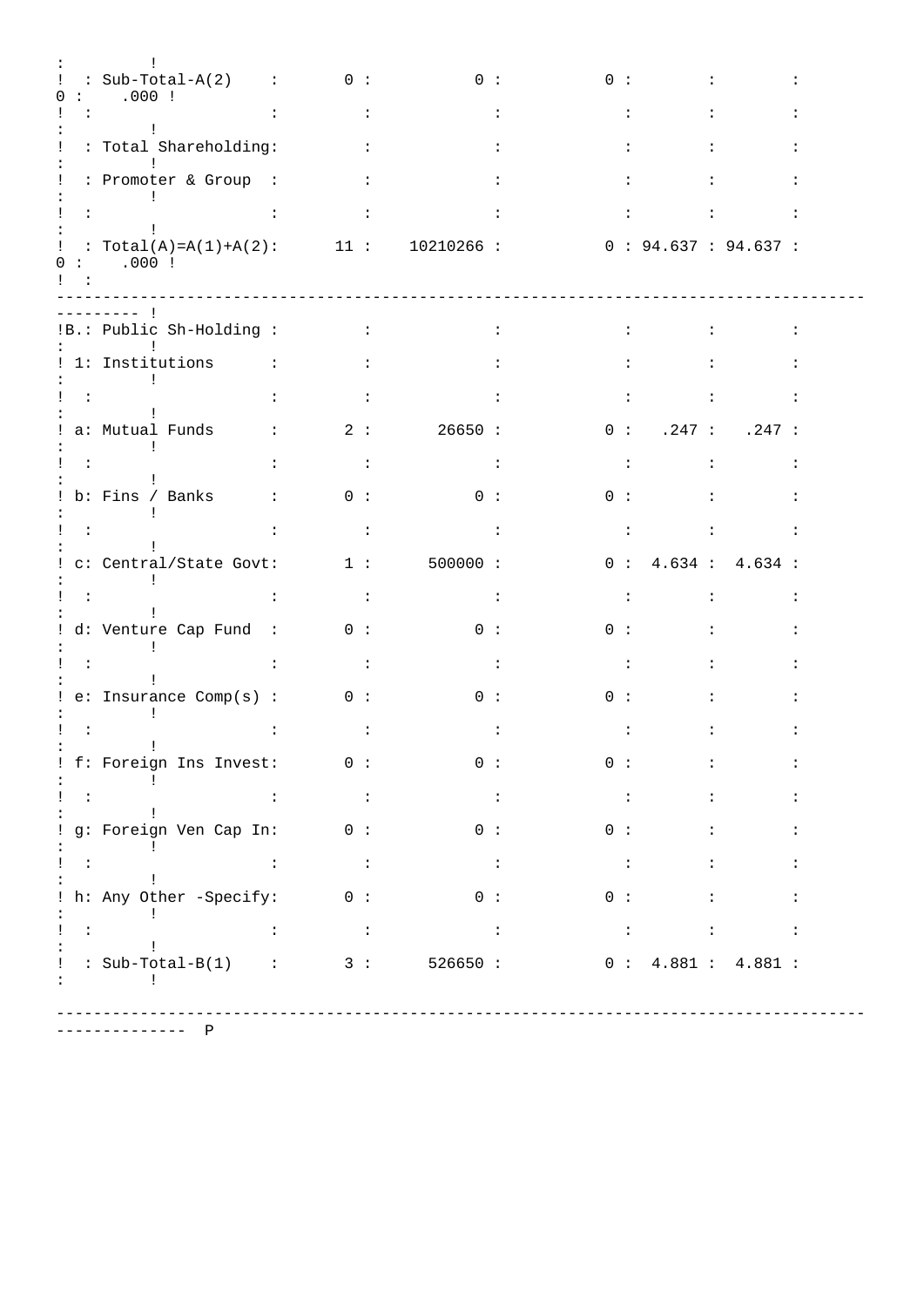|                               | $: Sub-Total-A(2) : 0 :$                                                                                                                                                                                                                                                                                                                                                                                                                                                   |                                                                                     |                      | $\begin{array}{ccc} & & 0 & \vdots \end{array}$                                     |                      | 0:                                |                          |        |                      |                                                                                          |                      |
|-------------------------------|----------------------------------------------------------------------------------------------------------------------------------------------------------------------------------------------------------------------------------------------------------------------------------------------------------------------------------------------------------------------------------------------------------------------------------------------------------------------------|-------------------------------------------------------------------------------------|----------------------|-------------------------------------------------------------------------------------|----------------------|-----------------------------------|--------------------------|--------|----------------------|------------------------------------------------------------------------------------------|----------------------|
|                               | .000:<br>$\sim$ 100 $\sim$                                                                                                                                                                                                                                                                                                                                                                                                                                                 | <b>Contractor</b>                                                                   |                      |                                                                                     |                      |                                   | $\mathbf{L}$             |        | $\mathbf{L}$         |                                                                                          |                      |
|                               | $\sim 10$<br>: Total Shareholding:                                                                                                                                                                                                                                                                                                                                                                                                                                         | <b>Contract Contract</b>                                                            |                      |                                                                                     |                      |                                   | $\ddot{\phantom{a}}$     |        |                      |                                                                                          |                      |
|                               | : Promoter & Group :                                                                                                                                                                                                                                                                                                                                                                                                                                                       | <b>Contract Contract</b>                                                            |                      |                                                                                     |                      |                                   | $\ddot{\phantom{a}}$     |        |                      |                                                                                          |                      |
| $\sim 10^{-10}$               |                                                                                                                                                                                                                                                                                                                                                                                                                                                                            |                                                                                     | $\sim$ 1.            |                                                                                     | $\mathbf{L}$         |                                   | $\mathbf{L}$             |        | $\mathbf{L}$         |                                                                                          | $\ddot{\cdot}$       |
| $\mathbf{I}$ and $\mathbf{I}$ | : Total(A)=A(1)+A(2): 11: 10210266: 0:94.637:94.637:<br>0: 000:                                                                                                                                                                                                                                                                                                                                                                                                            |                                                                                     |                      |                                                                                     |                      |                                   |                          |        |                      |                                                                                          |                      |
|                               | -------- 1<br>!B.: Public Sh-Holding :<br><b>Contract Contract</b>                                                                                                                                                                                                                                                                                                                                                                                                         | <b>Contract Contract Contract</b>                                                   |                      |                                                                                     | $\ddot{\phantom{a}}$ |                                   | $\mathbf{L}$             |        | $\ddot{\phantom{0}}$ |                                                                                          | $\ddot{\cdot}$       |
|                               | ! 1: Institutions :<br><b>Contract District</b>                                                                                                                                                                                                                                                                                                                                                                                                                            |                                                                                     | $\sim$ 1.1           |                                                                                     |                      |                                   | $\mathbf{L}$             |        | $\ddot{\phantom{a}}$ |                                                                                          |                      |
| $\sim 100$                    | $\mathbf{L}$                                                                                                                                                                                                                                                                                                                                                                                                                                                               |                                                                                     | $\sim$ $\sim$ $\sim$ |                                                                                     | $\cdot$              |                                   | $\sim$ 100 $\pm$         |        | $\mathbf{L}$         |                                                                                          | $\ddot{\cdot}$       |
|                               | $: a: Mutual\ Funds$ $: 2: 26650:$<br>$\mathbf{I}$                                                                                                                                                                                                                                                                                                                                                                                                                         |                                                                                     |                      |                                                                                     |                      |                                   |                          |        |                      | 0: .247: .247:                                                                           |                      |
| $\sim 100$                    | $\ddot{\phantom{a}}$                                                                                                                                                                                                                                                                                                                                                                                                                                                       | $\sim 100$ M $_{\odot}$                                                             |                      | $\sim$ $\sim$ $\sim$ $\sim$                                                         |                      |                                   | $\sim 1000$ km s $^{-1}$ |        | $\sim$ 100 $\sim$    |                                                                                          | $\ddot{\phantom{a}}$ |
|                               | $: b: Fins / Banks$ : 0:                                                                                                                                                                                                                                                                                                                                                                                                                                                   |                                                                                     |                      | $\begin{array}{ccc} & 0 & \vdots \end{array}$                                       |                      | 0:                                |                          |        |                      |                                                                                          |                      |
| $\sim 40\%$                   | $\ddot{\phantom{a}}$                                                                                                                                                                                                                                                                                                                                                                                                                                                       |                                                                                     | $\sim$ 1.            |                                                                                     | $\sim$ 1.            |                                   | $\sim 100$               |        | $\sim$ 100 $\sim$    |                                                                                          | $\ddot{\cdot}$       |
|                               | : c: Central/State Govt: 1 :<br>$\sim 1$                                                                                                                                                                                                                                                                                                                                                                                                                                   |                                                                                     |                      | 500000:                                                                             |                      |                                   |                          |        |                      | 0: 4.634: 4.634:                                                                         |                      |
| $\sim$ 10 $\pm$               | $\ddot{\phantom{a}}$                                                                                                                                                                                                                                                                                                                                                                                                                                                       |                                                                                     | $\sim 100$           |                                                                                     | $\sim 10$            |                                   | $\sim 100$               |        | $\sim 10^7$          |                                                                                          | $\ddot{\cdot}$       |
|                               | d: Venture Cap Fund : 0 :<br>$\mathbf{I}$                                                                                                                                                                                                                                                                                                                                                                                                                                  |                                                                                     |                      |                                                                                     | 0:                   |                                   | 0:                       |        |                      |                                                                                          |                      |
| $\sim$ 1.1                    |                                                                                                                                                                                                                                                                                                                                                                                                                                                                            |                                                                                     | $\sim$ 1.            |                                                                                     |                      |                                   | $\sim$ 1.1               |        |                      |                                                                                          |                      |
|                               | ! e: Insquare Comp(s) : 0 :                                                                                                                                                                                                                                                                                                                                                                                                                                                |                                                                                     |                      |                                                                                     | 0:                   |                                   | 0:                       |        |                      |                                                                                          |                      |
|                               |                                                                                                                                                                                                                                                                                                                                                                                                                                                                            |                                                                                     | $\ddot{\phantom{a}}$ |                                                                                     | $\ddot{\phantom{a}}$ |                                   | $\ddot{\cdot}$           |        |                      |                                                                                          |                      |
|                               | ! f: Foreign Ins Invest: 0 :                                                                                                                                                                                                                                                                                                                                                                                                                                               |                                                                                     |                      | $\begin{array}{ccc} & & 0 & \vdots \end{array}$                                     |                      |                                   |                          |        |                      | $\begin{array}{cccccccccccccc} 0 & : & & & & \ : & & & & \ : & & & & \ : \\ \end{array}$ |                      |
| $\mathbf{I} = \mathbf{I}$     | $\sim$ 1.                                                                                                                                                                                                                                                                                                                                                                                                                                                                  | <b>Contract Contract</b>                                                            |                      | $\sim 10-10$                                                                        |                      | $\sim 100$ GeV                    |                          |        | $\mathbf{L}$         |                                                                                          | $\ddot{\phantom{a}}$ |
|                               | ! g: Foreign Ven Cap In: 0: 0:<br>$\sim$ $\sim$ $\sim$ $\sim$                                                                                                                                                                                                                                                                                                                                                                                                              |                                                                                     |                      |                                                                                     |                      |                                   |                          | $0:$ : |                      |                                                                                          | $\ddot{\cdot}$       |
| $1 - 4$ and $1 - 1$           | $\sim 100$                                                                                                                                                                                                                                                                                                                                                                                                                                                                 | $\mathcal{L}^{\text{max}}_{\text{max}}$ and $\mathcal{L}^{\text{max}}_{\text{max}}$ |                      | $\mathcal{L}^{\text{max}}_{\text{max}}$ and $\mathcal{L}^{\text{max}}_{\text{max}}$ |                      | and the state of the state of     |                          |        |                      | $\mathbf{1}$ , and $\mathbf{1}$ , and $\mathbf{1}$                                       | $\ddot{\cdot}$       |
|                               | $: h: Any Other -Specific: 0: 0: 0: 0: 0:$                                                                                                                                                                                                                                                                                                                                                                                                                                 |                                                                                     |                      |                                                                                     |                      |                                   |                          |        |                      |                                                                                          | $\ddot{\phantom{a}}$ |
|                               | $\begin{array}{c} \begin{array}{c} \text{1} \ \text{2} \ \text{3} \ \text{4} \ \text{5} \ \text{6} \ \text{7} \ \text{8} \ \text{8} \ \text{9} \ \text{1} \ \text{1} \ \text{1} \ \text{1} \ \text{1} \ \text{1} \ \text{2} \ \text{1} \ \text{3} \ \text{4} \ \text{5} \ \text{6} \ \text{7} \ \text{8} \ \text{9} \ \text{1} \ \text{1} \ \text{1} \ \text{1} \ \text{1} \ \text{1} \ \text{1} \ \text{1} \ \text{1} \ \text$<br>$\sim$ 1.                               | $\sim 10^{11}$ and $\sim 10^{11}$                                                   |                      | $\sim 10^{11}$ and $\sim 10^{11}$                                                   |                      | <b>Contract Contract Contract</b> |                          |        | $\sim 10$            |                                                                                          | $\ddot{\cdot}$       |
|                               | $: Sub-Total-B(1)$ : 3: 526650: 0: 4.881: 4.881:<br>$\mathbb{E}[\mathbb{E}[\mathbb{E}[\mathbb{E}[\mathbb{E}[\mathbb{E}[\mathbb{E}[\mathbb{E}[\mathbb{E}[\mathbb{E}[\mathbb{E}[\mathbb{E}[\mathbb{E}[\mathbb{E}[\mathbb{E}[\mathbb{E}[\mathbb{E}[\mathbb{E}[\mathbb{E}[\mathbb{E}[\mathbb{E}[\mathbb{E}[\mathbb{E}[\mathbb{E}[\mathbb{E}[\mathbb{E}[\mathbb{E}[\mathbb{E}[\mathbb{E}[\mathbb{E}[\mathbb{E}[\mathbb{E}[\mathbb{E}[\mathbb{E}[\mathbb{E}[\mathbb{E}[\mathbb{$ |                                                                                     |                      |                                                                                     |                      |                                   |                          |        |                      |                                                                                          |                      |

-------------- P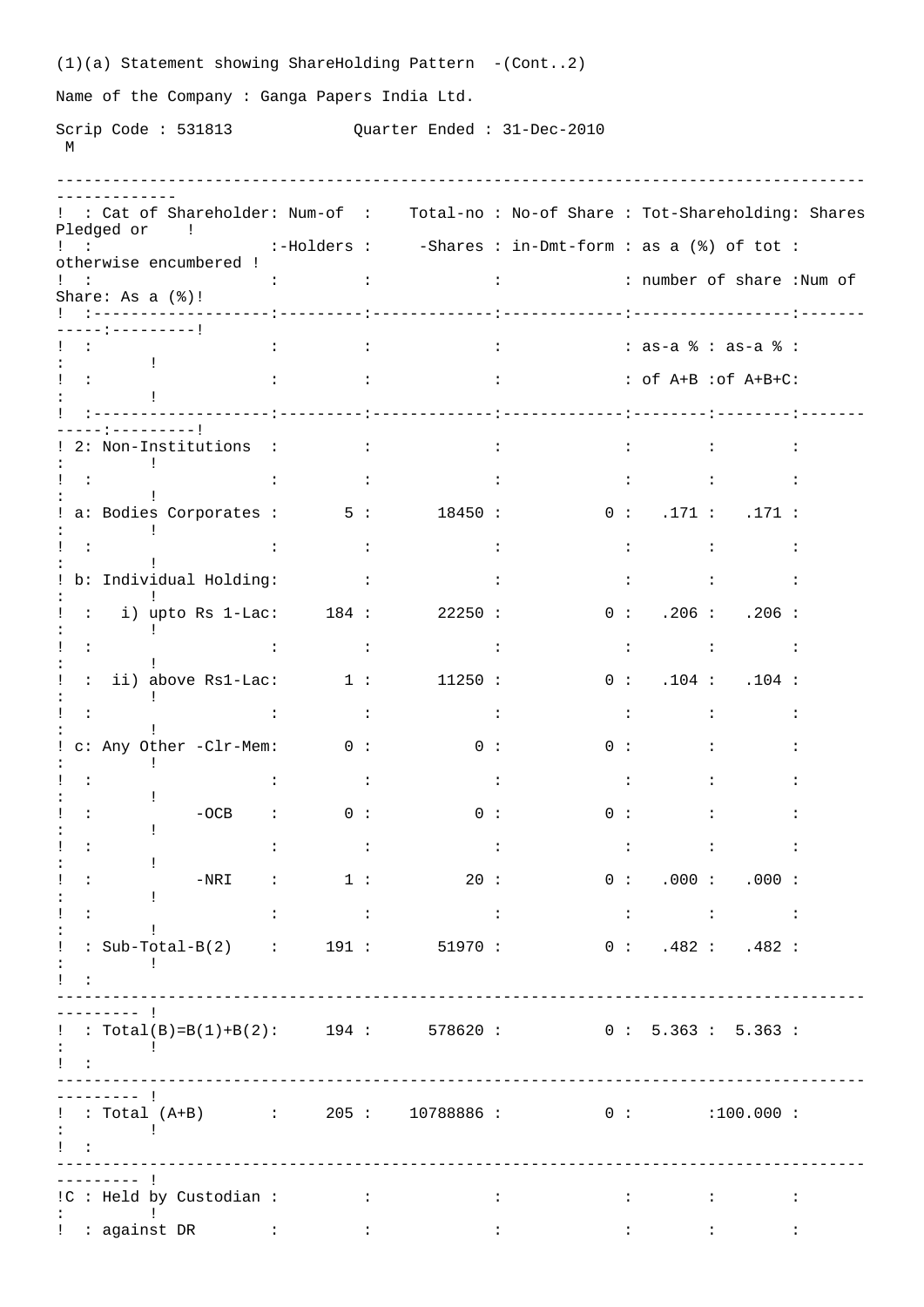|                           |                                   |                                              |                                          |                  | $(1)(a)$ Statement showing ShareHolding Pattern -(Cont2) |                      |                                                                                                                                                                                                                                                                                                                                              |                          |                                |                      |                                                                                                                                                                                                                                                                                                                                                                                                                                                           |                      |
|---------------------------|-----------------------------------|----------------------------------------------|------------------------------------------|------------------|----------------------------------------------------------|----------------------|----------------------------------------------------------------------------------------------------------------------------------------------------------------------------------------------------------------------------------------------------------------------------------------------------------------------------------------------|--------------------------|--------------------------------|----------------------|-----------------------------------------------------------------------------------------------------------------------------------------------------------------------------------------------------------------------------------------------------------------------------------------------------------------------------------------------------------------------------------------------------------------------------------------------------------|----------------------|
|                           |                                   | Name of the Company: Ganga Papers India Ltd. |                                          |                  |                                                          |                      |                                                                                                                                                                                                                                                                                                                                              |                          |                                |                      |                                                                                                                                                                                                                                                                                                                                                                                                                                                           |                      |
|                           |                                   |                                              |                                          |                  | Scrip Code: 531813 Quarter Ended: 31-Dec-2010            |                      |                                                                                                                                                                                                                                                                                                                                              |                          |                                |                      |                                                                                                                                                                                                                                                                                                                                                                                                                                                           |                      |
| М                         |                                   |                                              |                                          |                  |                                                          |                      |                                                                                                                                                                                                                                                                                                                                              |                          |                                |                      |                                                                                                                                                                                                                                                                                                                                                                                                                                                           |                      |
|                           |                                   |                                              |                                          |                  |                                                          |                      |                                                                                                                                                                                                                                                                                                                                              |                          |                                |                      |                                                                                                                                                                                                                                                                                                                                                                                                                                                           |                      |
|                           | Pledged or !                      |                                              |                                          |                  |                                                          |                      | : : Cat of Shareholder: Num-of : Total-no : No-of Share : Tot-Shareholding: Shares                                                                                                                                                                                                                                                           |                          |                                |                      |                                                                                                                                                                                                                                                                                                                                                                                                                                                           |                      |
| $1 - 1 -$                 |                                   | otherwise encumbered !                       |                                          |                  |                                                          |                      | :-Holders : -Shares : in-Dmt-form : as a (%) of tot :                                                                                                                                                                                                                                                                                        |                          |                                |                      |                                                                                                                                                                                                                                                                                                                                                                                                                                                           |                      |
|                           | Share: As $a$ $(\frac{1}{6})!$    |                                              |                                          |                  |                                                          |                      |                                                                                                                                                                                                                                                                                                                                              |                          |                                |                      |                                                                                                                                                                                                                                                                                                                                                                                                                                                           |                      |
|                           | ----:---------!                   |                                              |                                          |                  |                                                          |                      |                                                                                                                                                                                                                                                                                                                                              |                          |                                |                      |                                                                                                                                                                                                                                                                                                                                                                                                                                                           |                      |
|                           | $\sim$ 100 $\sim$ 100 $\sim$      |                                              |                                          |                  |                                                          |                      | $\vdots$ : $\vdots$ : $\vdots$ : $\vdots$ : $\vdots$ : $\vdots$ : $\vdots$ : $\vdots$ : $\vdots$ : $\vdots$ : $\vdots$ : $\vdots$ : $\vdots$ : $\vdots$ : $\vdots$ : $\vdots$ : $\vdots$ : $\vdots$ : $\vdots$ : $\vdots$ : $\vdots$ : $\vdots$ : $\vdots$ : $\vdots$ : $\vdots$ : $\vdots$ : $\vdots$ : $\vdots$                            |                          |                                |                      |                                                                                                                                                                                                                                                                                                                                                                                                                                                           |                      |
| $\sim$ 1.1                |                                   |                                              |                                          |                  |                                                          |                      | $\vdots$ $\vdots$ $\vdots$ $\vdots$ $\vdots$ $\vdots$ $\vdots$ $\vdots$ $\vdots$ $\vdots$ $\vdots$ $\vdots$ $\vdots$ $\vdots$ $\vdots$ $\vdots$ $\vdots$ $\vdots$ $\vdots$ $\vdots$ $\vdots$ $\vdots$ $\vdots$ $\vdots$ $\vdots$ $\vdots$ $\vdots$ $\vdots$ $\vdots$ $\vdots$ $\vdots$ $\vdots$ $\vdots$ $\vdots$ $\vdots$ $\vdots$ $\vdots$ |                          |                                |                      |                                                                                                                                                                                                                                                                                                                                                                                                                                                           |                      |
|                           |                                   |                                              |                                          |                  |                                                          |                      |                                                                                                                                                                                                                                                                                                                                              |                          |                                |                      |                                                                                                                                                                                                                                                                                                                                                                                                                                                           |                      |
|                           | $\mathbf{I}$                      | 2: Non-Institutions : :                      |                                          |                  |                                                          |                      | $\sim 1000$ km s $^{-1}$                                                                                                                                                                                                                                                                                                                     | <b>CENTER CONTRACTOR</b> |                                | $\ddot{\phantom{a}}$ |                                                                                                                                                                                                                                                                                                                                                                                                                                                           | $\ddot{\phantom{a}}$ |
| $\sim$ 10 $\sim$          |                                   |                                              | $\mathbf{L}$<br><b>Contract Contract</b> |                  |                                                          | $\sim$ 100 $\sim$    |                                                                                                                                                                                                                                                                                                                                              | <b>Contract Contract</b> | <b>Contract Contract</b>       |                      |                                                                                                                                                                                                                                                                                                                                                                                                                                                           | $\ddot{\phantom{a}}$ |
|                           |                                   |                                              |                                          |                  | a: Bodies Corporates : 5: 18450 :                        |                      |                                                                                                                                                                                                                                                                                                                                              |                          |                                |                      | 0: 171: 171:                                                                                                                                                                                                                                                                                                                                                                                                                                              |                      |
| $\sim 100$                |                                   | $\sim$ 1.                                    | <b>Contractor</b>                        |                  |                                                          | $\ddot{\phantom{a}}$ |                                                                                                                                                                                                                                                                                                                                              | $\sim 10^{-11}$          | <b>Contractor</b>              |                      |                                                                                                                                                                                                                                                                                                                                                                                                                                                           | $\ddot{\phantom{a}}$ |
|                           |                                   | : b: Individual Holding: :                   |                                          |                  |                                                          | $\ddot{\cdot}$       | $\sim 100$ M $_{\odot}$                                                                                                                                                                                                                                                                                                                      |                          |                                | $\mathbb{R}^n$       |                                                                                                                                                                                                                                                                                                                                                                                                                                                           | $\ddot{\phantom{a}}$ |
| $\sim$ 10 $\sim$          | $\pm$                             |                                              |                                          |                  | i) upto Rs $1$ -Lac: $184:22250:$                        |                      |                                                                                                                                                                                                                                                                                                                                              |                          |                                |                      | 0: .206: .206:                                                                                                                                                                                                                                                                                                                                                                                                                                            |                      |
| $\sim$ 10 $\sim$          |                                   | $\sim$ 1.1                                   | <b>Contract Contract Contract</b>        |                  | <b>Contract Contract Contract</b>                        |                      |                                                                                                                                                                                                                                                                                                                                              |                          |                                |                      | $\mathcal{O}(\mathbb{R}^2)$ . The set of the set of the set of $\mathcal{O}(\mathbb{R}^2)$                                                                                                                                                                                                                                                                                                                                                                |                      |
|                           |                                   |                                              |                                          |                  | : ii) above Rs1-Lac: $1:$ $1:$ $11250:$                  |                      |                                                                                                                                                                                                                                                                                                                                              |                          |                                |                      | 0: .104: .104:                                                                                                                                                                                                                                                                                                                                                                                                                                            |                      |
| $\sim$ 100                |                                   | $\sim$ 10                                    | <b>Contract Contract</b>                 |                  |                                                          | $\ddot{\phantom{a}}$ |                                                                                                                                                                                                                                                                                                                                              | $\sim 100$ M $_\odot$    | <b>Contractor</b>              |                      |                                                                                                                                                                                                                                                                                                                                                                                                                                                           | $\ddot{\phantom{a}}$ |
|                           |                                   | : c: Any Other -Clr-Mem: 0 :                 |                                          |                  | $\begin{array}{ccc} & & 0 & \vdots \end{array}$          |                      |                                                                                                                                                                                                                                                                                                                                              |                          | 0:                             |                      | <b>Experience</b>                                                                                                                                                                                                                                                                                                                                                                                                                                         |                      |
|                           | ÷                                 |                                              | $\mathbf{L}$<br><b>Contractor</b>        |                  | <b>Contract Contract Contract</b>                        |                      |                                                                                                                                                                                                                                                                                                                                              |                          |                                |                      | and the state of the state of the state of                                                                                                                                                                                                                                                                                                                                                                                                                | $\ddot{\cdot}$       |
| ٠.                        | $\mathbf{I}$                      |                                              |                                          |                  | $-OCB$ : 0 : 0 :                                         |                      |                                                                                                                                                                                                                                                                                                                                              |                          | 0 :                            | $\mathbf{L}$         |                                                                                                                                                                                                                                                                                                                                                                                                                                                           | $\ddot{\phantom{a}}$ |
|                           | Ţ.                                |                                              | $\mathbf{L}$<br>$\sim 100$ M $_\odot$    |                  | $\sim 100$ GeV                                           |                      |                                                                                                                                                                                                                                                                                                                                              |                          |                                |                      | $\mathcal{L}=\{1,2,\ldots,2\}$ . The set of the set of the set of the set of the set of the set of the set of the set of the set of the set of the set of the set of the set of the set of the set of the set of the set of the set of                                                                                                                                                                                                                    |                      |
| $\ddot{\phantom{a}}$      | ÷                                 | $-NRI$ :                                     | 1:                                       |                  | 20:                                                      |                      |                                                                                                                                                                                                                                                                                                                                              |                          |                                |                      | 0: 000: .000:                                                                                                                                                                                                                                                                                                                                                                                                                                             |                      |
| $\mathbf{L}$              | Ţ.                                |                                              | <b>Contract Contract</b><br>$\mathbf{L}$ |                  | <b>Contract Contract</b>                                 |                      |                                                                                                                                                                                                                                                                                                                                              |                          |                                |                      | $\mathcal{L}^{\mathcal{L}}(\mathcal{L}^{\mathcal{L}}(\mathcal{L}^{\mathcal{L}}(\mathcal{L}^{\mathcal{L}}(\mathcal{L}^{\mathcal{L}}(\mathcal{L}^{\mathcal{L}}(\mathcal{L}^{\mathcal{L}}(\mathcal{L}^{\mathcal{L}}(\mathcal{L}^{\mathcal{L}}(\mathcal{L}^{\mathcal{L}}(\mathcal{L}^{\mathcal{L}}(\mathcal{L}^{\mathcal{L}}(\mathcal{L}^{\mathcal{L}}(\mathcal{L}^{\mathcal{L}}(\mathcal{L}^{\mathcal{L}}(\mathcal{L}^{\mathcal{L}}(\mathcal{L}^{\mathcal{L$ |                      |
| $\pmb{\cdot}$             |                                   |                                              |                                          |                  |                                                          |                      | : Sub-Total-B(2) : 191 : 51970 : 0 : .482 : .482 :                                                                                                                                                                                                                                                                                           |                          |                                |                      |                                                                                                                                                                                                                                                                                                                                                                                                                                                           |                      |
| $\mathbf{1}$ $\mathbf{1}$ |                                   |                                              |                                          |                  |                                                          |                      |                                                                                                                                                                                                                                                                                                                                              |                          |                                |                      |                                                                                                                                                                                                                                                                                                                                                                                                                                                           |                      |
|                           | ------- 1                         |                                              |                                          |                  |                                                          |                      |                                                                                                                                                                                                                                                                                                                                              |                          |                                |                      |                                                                                                                                                                                                                                                                                                                                                                                                                                                           |                      |
|                           |                                   |                                              |                                          |                  |                                                          |                      | : Total(B)=B(1)+B(2): 194: 578620: 0: 5.363: 5.363:                                                                                                                                                                                                                                                                                          |                          |                                |                      |                                                                                                                                                                                                                                                                                                                                                                                                                                                           |                      |
|                           |                                   |                                              |                                          |                  |                                                          |                      |                                                                                                                                                                                                                                                                                                                                              |                          |                                |                      |                                                                                                                                                                                                                                                                                                                                                                                                                                                           |                      |
|                           | $-$ - - - - - - 1                 |                                              |                                          |                  |                                                          |                      |                                                                                                                                                                                                                                                                                                                                              |                          |                                |                      |                                                                                                                                                                                                                                                                                                                                                                                                                                                           |                      |
|                           | <b>Experience</b> of the state of |                                              |                                          |                  |                                                          |                      | $\frac{1}{2}$ : Total (A+B) : 205 : 10788886 : 0 : 100.000 :                                                                                                                                                                                                                                                                                 |                          |                                |                      |                                                                                                                                                                                                                                                                                                                                                                                                                                                           |                      |
| $\sim$ 100                |                                   |                                              |                                          |                  |                                                          |                      |                                                                                                                                                                                                                                                                                                                                              |                          |                                |                      |                                                                                                                                                                                                                                                                                                                                                                                                                                                           |                      |
|                           |                                   | : IC : Held by Custodian : :                 |                                          |                  | and the control of the con-                              |                      |                                                                                                                                                                                                                                                                                                                                              |                          | <b>Experience of the State</b> |                      | <b>Experience</b>                                                                                                                                                                                                                                                                                                                                                                                                                                         | $\ddot{\phantom{a}}$ |
|                           |                                   | ! : against DR :                             |                                          | $\sim$ 100 $\pm$ |                                                          | $\ddot{\phantom{a}}$ |                                                                                                                                                                                                                                                                                                                                              |                          |                                |                      |                                                                                                                                                                                                                                                                                                                                                                                                                                                           | $\ddot{\cdot}$       |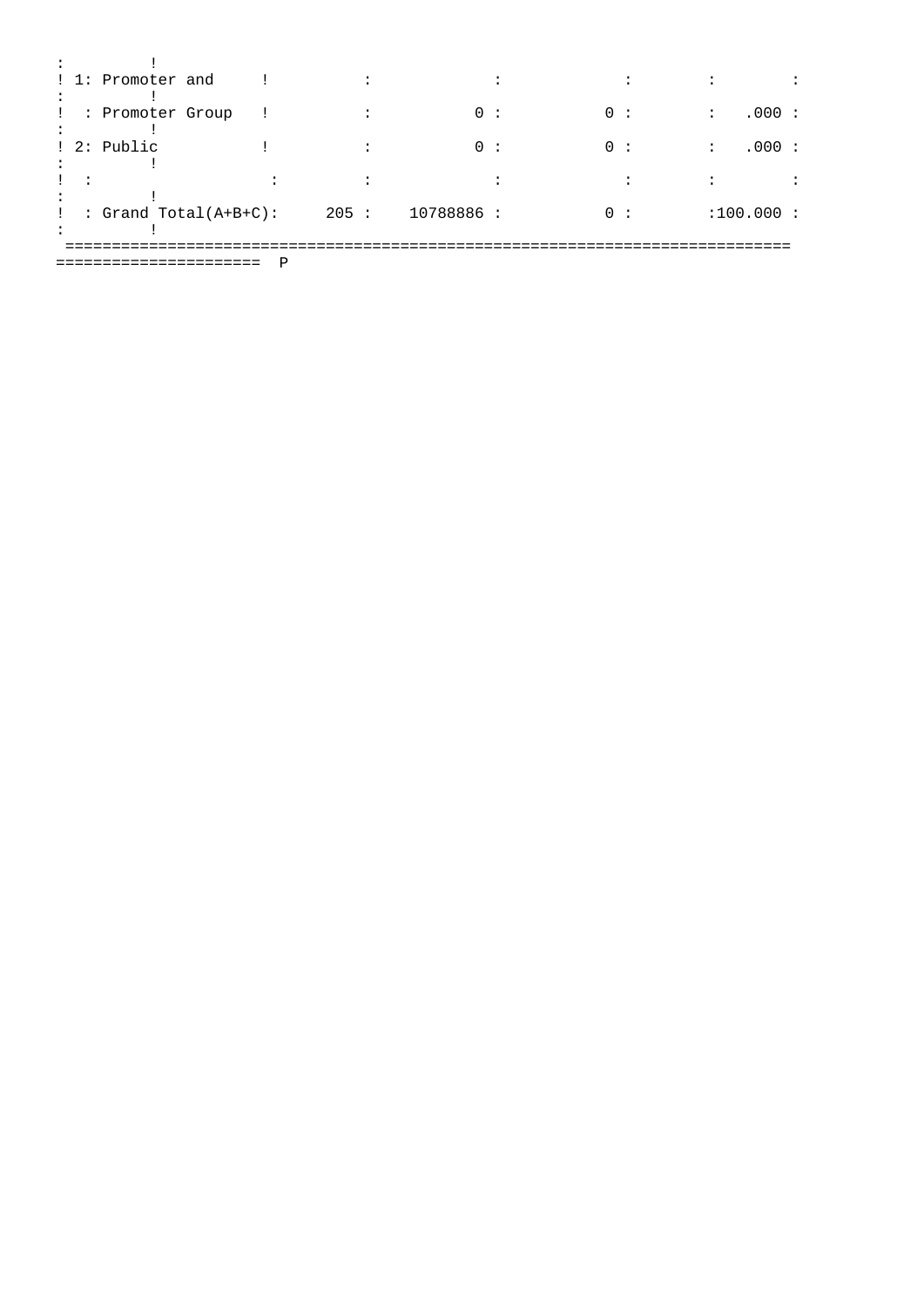|  | ! 1: Promoter and         |  |      |            |  |    |  |                      |       |  |
|--|---------------------------|--|------|------------|--|----|--|----------------------|-------|--|
|  |                           |  |      |            |  |    |  |                      |       |  |
|  | : Promoter Group          |  |      | 0:         |  | 0: |  | $\ddot{\phantom{a}}$ | .000: |  |
|  |                           |  |      |            |  |    |  |                      |       |  |
|  | ! 2: Public               |  |      | 0:         |  | 0: |  | $\ddot{\cdot}$       | .000: |  |
|  |                           |  |      |            |  |    |  |                      |       |  |
|  |                           |  |      |            |  |    |  |                      |       |  |
|  |                           |  |      |            |  |    |  |                      |       |  |
|  | : Grand Total( $A+B+C$ ): |  | 205: | 10788886 : |  | 0: |  | :100.000:            |       |  |
|  |                           |  |      |            |  |    |  |                      |       |  |
|  |                           |  |      |            |  |    |  |                      |       |  |
|  |                           |  |      |            |  |    |  |                      |       |  |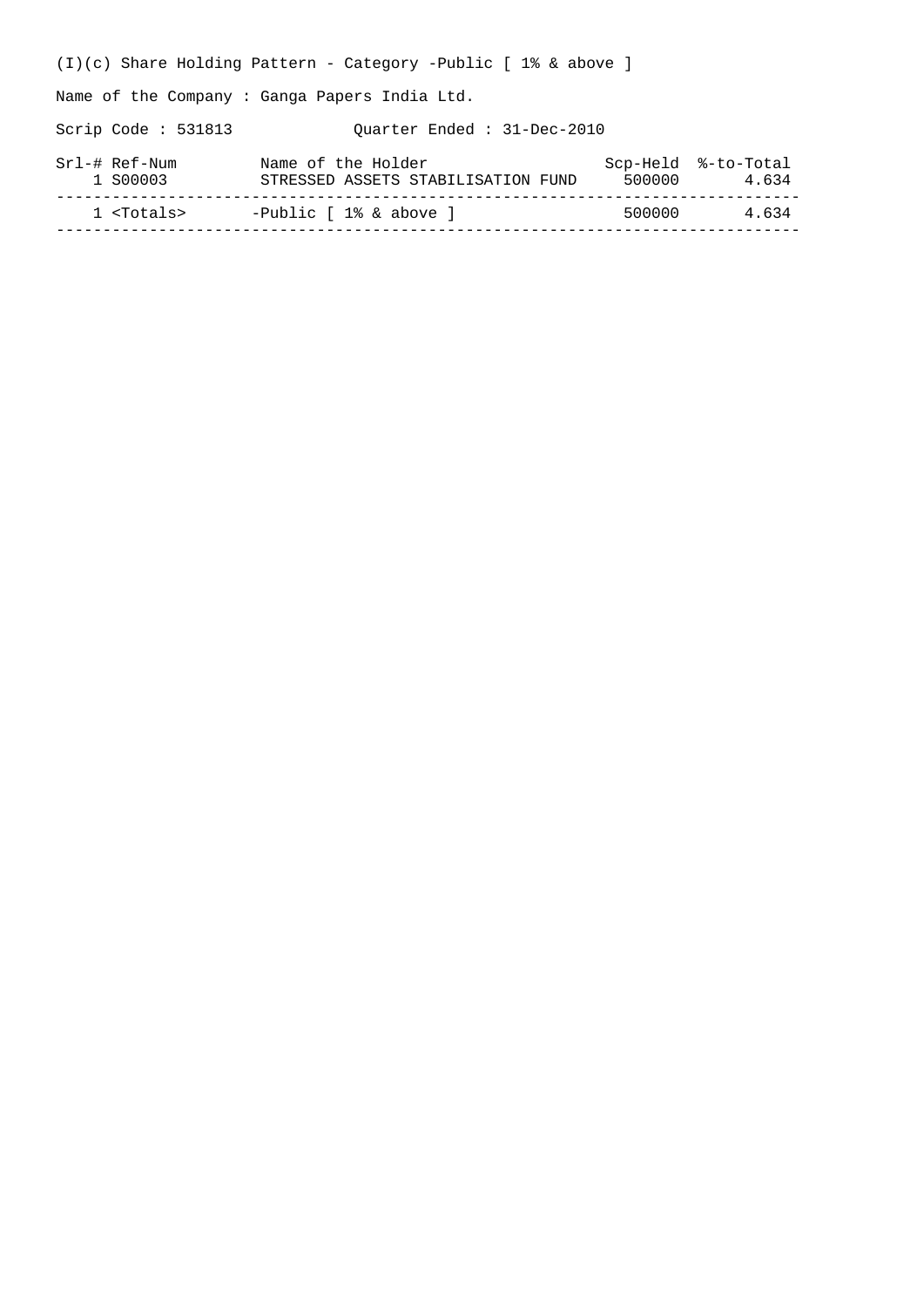(I)(c) Share Holding Pattern - Category -Public [ 1% & above ] Name of the Company : Ganga Papers India Ltd. Scrip Code : 531813 Quarter Ended : 31-Dec-2010 Srl-# Ref-Num Mame of the Holder Scp-Held %-to-Total 1 S00003 STRESSED ASSETS STABILISATION FUND 500000 4.634 -------------------------------------------------------------------------------- 1 <Totals> -Public [ 1% & above ] --------------------------------------------------------------------------------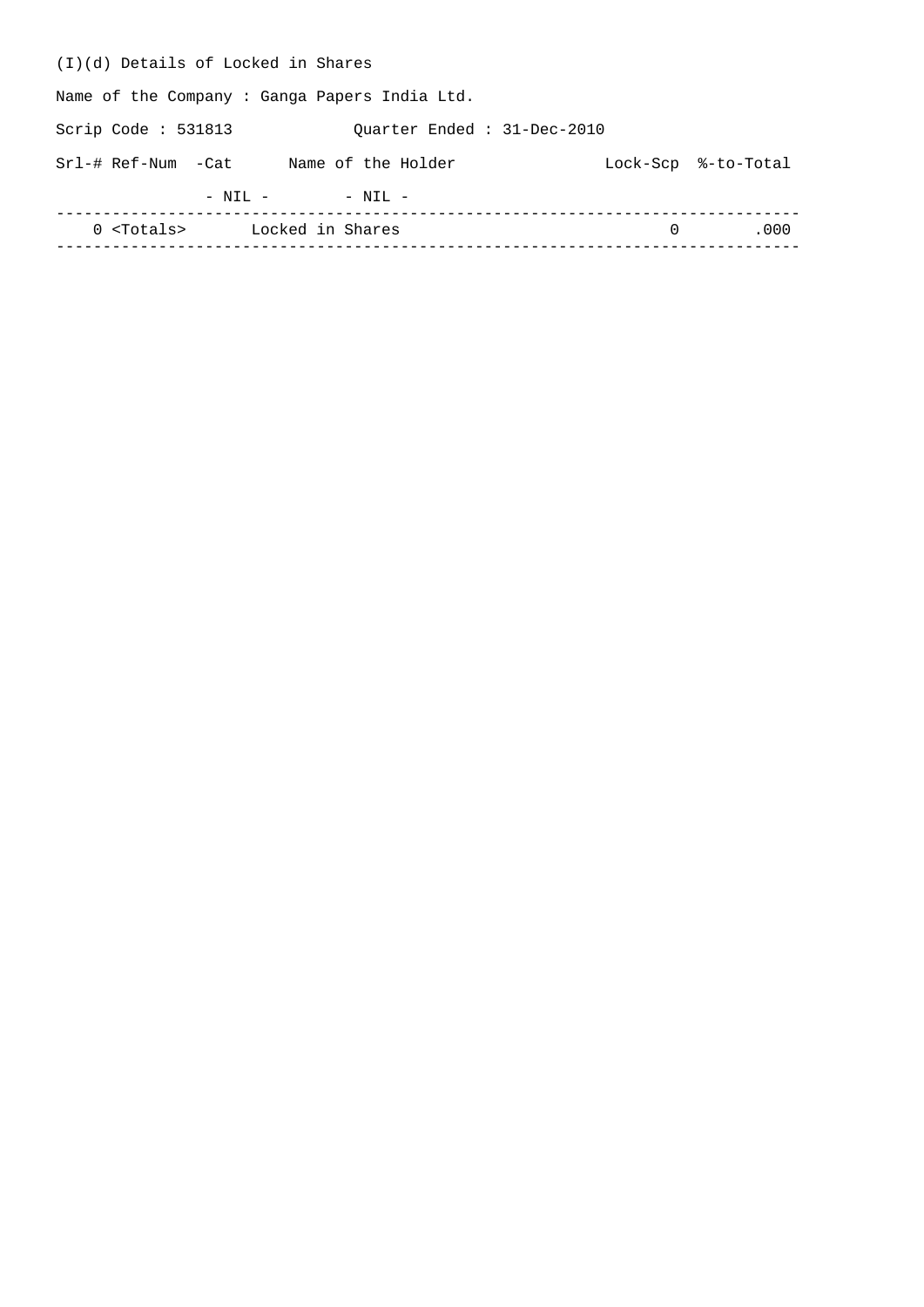| (I)(d) Details of Locked in Shares                  |          |                     |
|-----------------------------------------------------|----------|---------------------|
| Name of the Company: Ganga Papers India Ltd.        |          |                     |
| Scrip Code : $531813$<br>Ouarter Ended: 31-Dec-2010 |          |                     |
| Srl-# Ref-Num -Cat<br>Name of the Holder            |          | Lock-Scp %-to-Total |
| $-$ NIL $-$<br>$-$ NIL $-$                          |          |                     |
| 0 <totals> Locked in Shares</totals>                | $\Omega$ | .000                |
|                                                     |          |                     |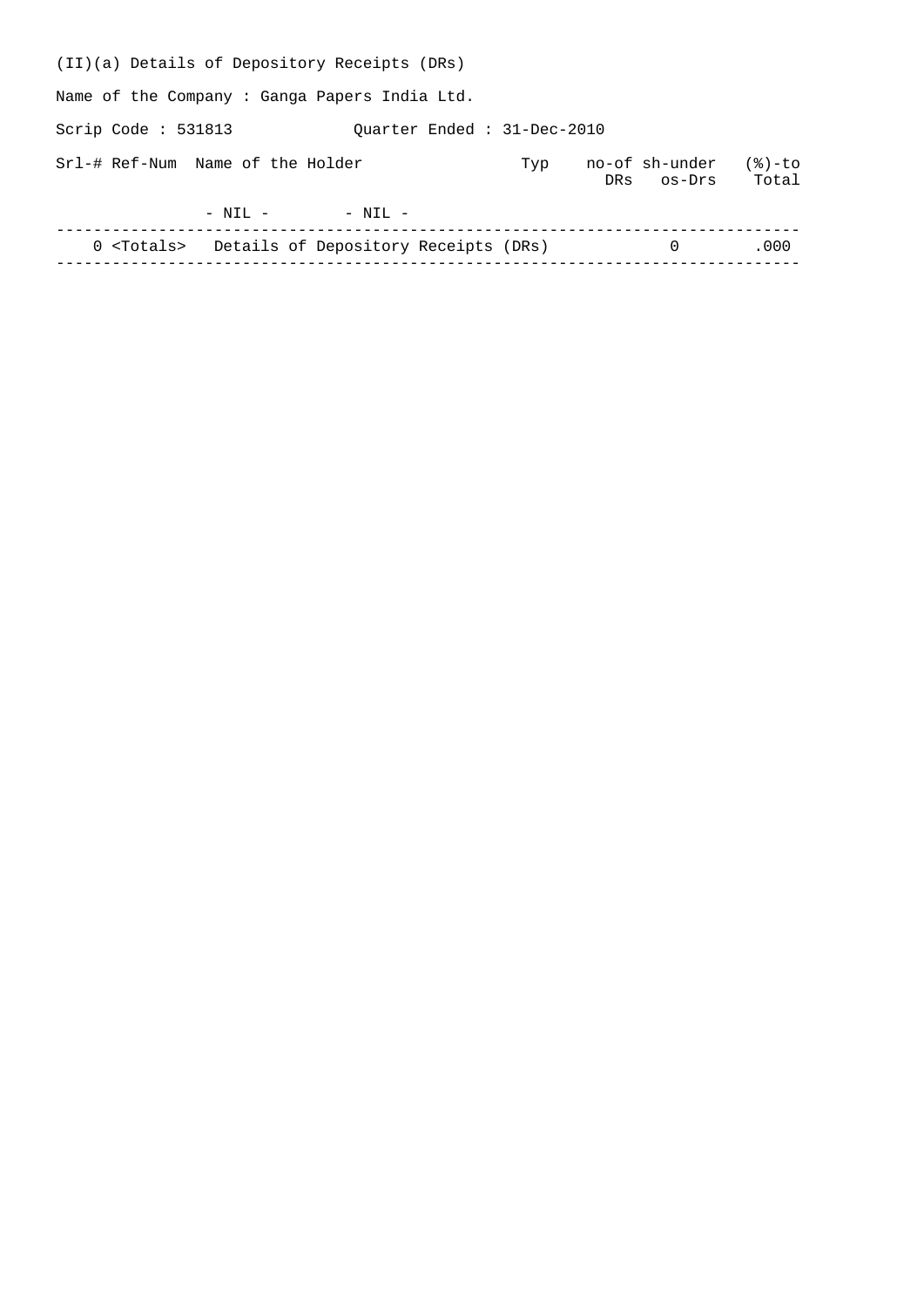| (II)(a) Details of Depository Receipts (DRs)             |     |                              |                 |
|----------------------------------------------------------|-----|------------------------------|-----------------|
| Name of the Company: Ganga Papers India Ltd.             |     |                              |                 |
| Scrip Code : $531813$<br>Ouarter Ended: 31-Dec-2010      |     |                              |                 |
| Srl-# Ref-Num Name of the Holder                         | Typ | no-of sh-under<br>DRS OS-Drs | (응)-to<br>Total |
| $-$ NIL $-$<br>$- NTI -$                                 |     |                              |                 |
| 0 <totals> Details of Depository Receipts (DRs)</totals> |     | $\Omega$                     | .000            |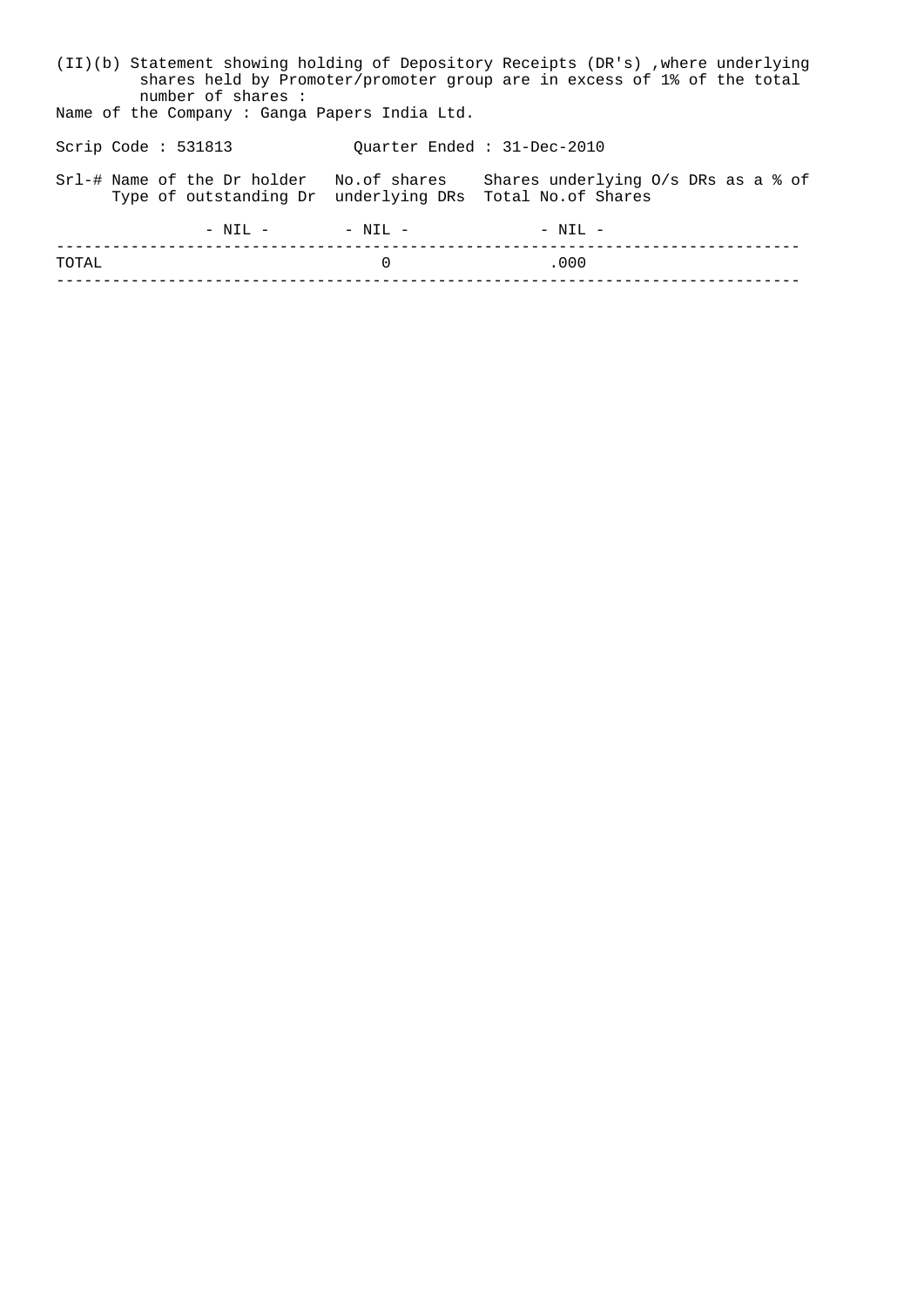|                       |  | (II)(b) Statement showing holding of Depository Receipts (DR's), where underlying<br>shares held by Promoter/promoter group are in excess of 1% of the total<br>number of shares: |           |                            |                                              |  |  |  |
|-----------------------|--|-----------------------------------------------------------------------------------------------------------------------------------------------------------------------------------|-----------|----------------------------|----------------------------------------------|--|--|--|
|                       |  | Name of the Company: Ganga Papers India Ltd.                                                                                                                                      |           |                            |                                              |  |  |  |
| Scrip Code : $531813$ |  |                                                                                                                                                                                   |           | Ouarter Ended: 31-Dec-2010 |                                              |  |  |  |
|                       |  | Srl-# Name of the Dr holder No.of shares<br>Type of outstanding Dr underlying DRs Total No. of Shares                                                                             |           |                            | Shares underlying $0/s$ DRs as a $\delta$ of |  |  |  |
|                       |  | $-$ NTI, $-$                                                                                                                                                                      | $- NTI -$ |                            | $-$ NTI, $-$                                 |  |  |  |
| TOTAL                 |  |                                                                                                                                                                                   |           | 0                          | .000                                         |  |  |  |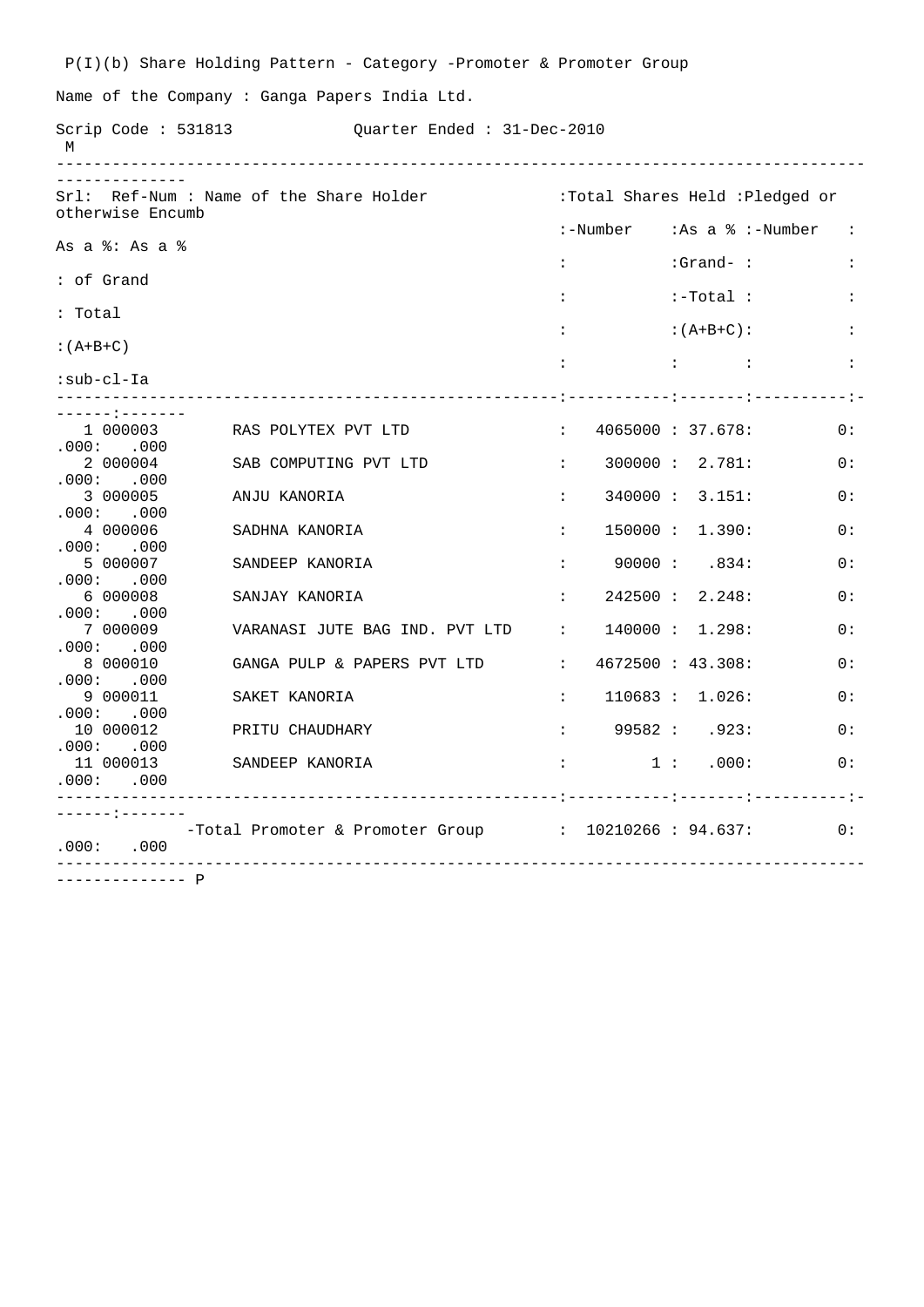P(I)(b) Share Holding Pattern - Category -Promoter & Promoter Group Name of the Company : Ganga Papers India Ltd. Scrip Code : 531813 (Quarter Ended : 31-Dec-2010) M --------------------------------------------------------------------------------------- -------------- Srl: Ref-Num : Name of the Share Holder : Total Shares Held :Pledged or otherwise Encumb :-Number :As a % :-Number : As a %: As a %  $: Grand-$  :  $: Grand-$  : : of Grand  $\qquad \qquad : \qquad \qquad \text{``i--Total} \qquad :$ : Total  $:$  :  $(A+B+C):$  :  $:(A+B+C)$  : : : : :sub-cl-Ia ------------------------------------------------------:-----------:-------:----------:- -------:-------<br>1 000003 RAS POLYTEX PVT LTD : 4065000 : 37.678: 0:  $.000: 000004$ SAB COMPUTING PVT LTD : 300000 : 2.781: 0:  $.000: 000$ <br>3 000005 ANJU KANORIA : 340000 : 3.151: 0: .000: .000 4 000006 SADHNA KANORIA : 150000 : 1.390: 0: .000: .000<br>5 000007 SANDEEP KANORIA : 90000 : .834: 0: .000 : .000<br>6 000008 SANJAY KANORIA : 242500 : 2.248: 0: .000: .000 7 000009 VARANASI JUTE BAG IND. PVT LTD : 140000 : 1.298: 0: .000: .000<br>8 000010 GANGA PULP & PAPERS PVT LTD : 4672500 : 43.308: 0: .000: .000<br>9 000011 9 000011 SAKET KANORIA : 110683 : 1.026: 0: .000: .000 10 000012 PRITU CHAUDHARY : 99582 : .923: 0:  $.000: .000$ <br>11 000013 11 000013 SANDEEP KANORIA : 1 : .000: 0: .000: .000 ------------------------------------------------------:-----------:-------:----------:- ------:------- -Total Promoter & Promoter Group : 10210266 : 94.637: 0: .000: .000 ---------------------------------------------------------------------------------------

--------------P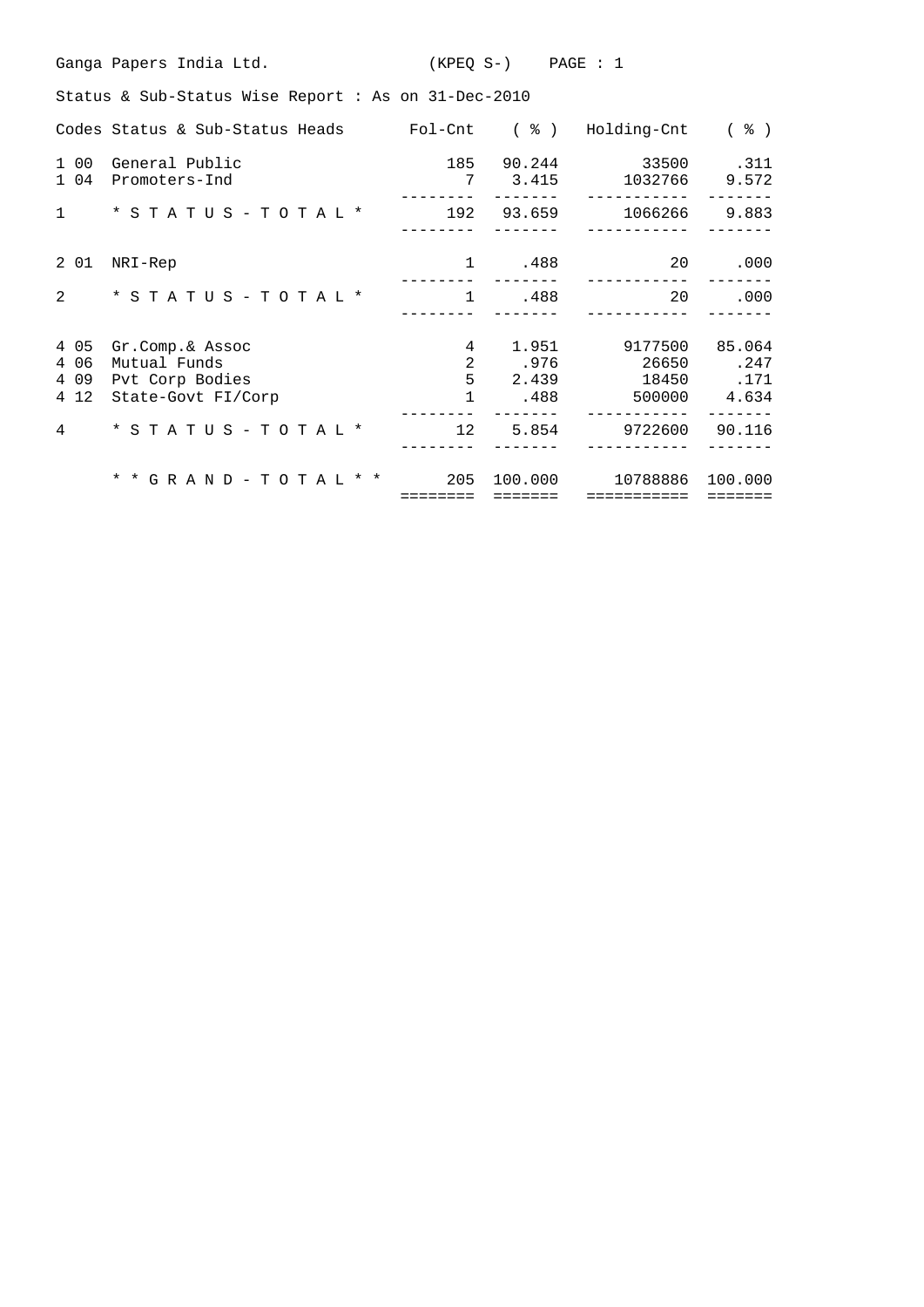|                                 | Ganga Papers India Ltd.                                                  | $(KPEQ S-)$                 | PAGE : 1                       |                                     |                                 |
|---------------------------------|--------------------------------------------------------------------------|-----------------------------|--------------------------------|-------------------------------------|---------------------------------|
|                                 | Status & Sub-Status Wise Report : As on 31-Dec-2010                      |                             |                                |                                     |                                 |
|                                 | Codes Status & Sub-Status Heads                                          |                             | Fol-Cnt ( % )                  | Holding-Cnt                         | $($ $\frac{6}{6}$ $)$           |
| 1 00<br>1 04                    | General Public<br>Promoters-Ind                                          | 185<br>7                    | 90.244<br>3.415                | 33500<br>1032766                    | .311<br>9.572                   |
| $\mathbf{1}$                    | $*$ STATUS - TOTAL $*$                                                   | 192                         | 93.659                         | 1066266                             | 9.883                           |
| 2 01                            | NRI-Rep                                                                  | $\mathbf{1}$                | .488                           | 20                                  | .000                            |
| $\overline{2}$                  | * STATUS - TOTAL *                                                       | $\mathbf{1}$                | .488                           | 20                                  | .000                            |
| 4 0 5<br>4 0 6<br>4 0 9<br>4 12 | Gr.Comp.& Assoc<br>Mutual Funds<br>Pvt Corp Bodies<br>State-Govt FI/Corp | 4<br>2<br>5<br>$\mathbf{1}$ | 1.951<br>.976<br>2.439<br>.488 | 9177500<br>26650<br>18450<br>500000 | 85.064<br>.247<br>.171<br>4.634 |
| 4                               | * STATUS - TOTAL *                                                       | $12 \overline{ }$           | 5.854                          | 9722600                             | 90.116                          |
|                                 | * * G R A N D - T O T A L * *                                            | 205<br>========             | 100.000<br>=======             | 10788886<br>===========             | 100.000<br>=======              |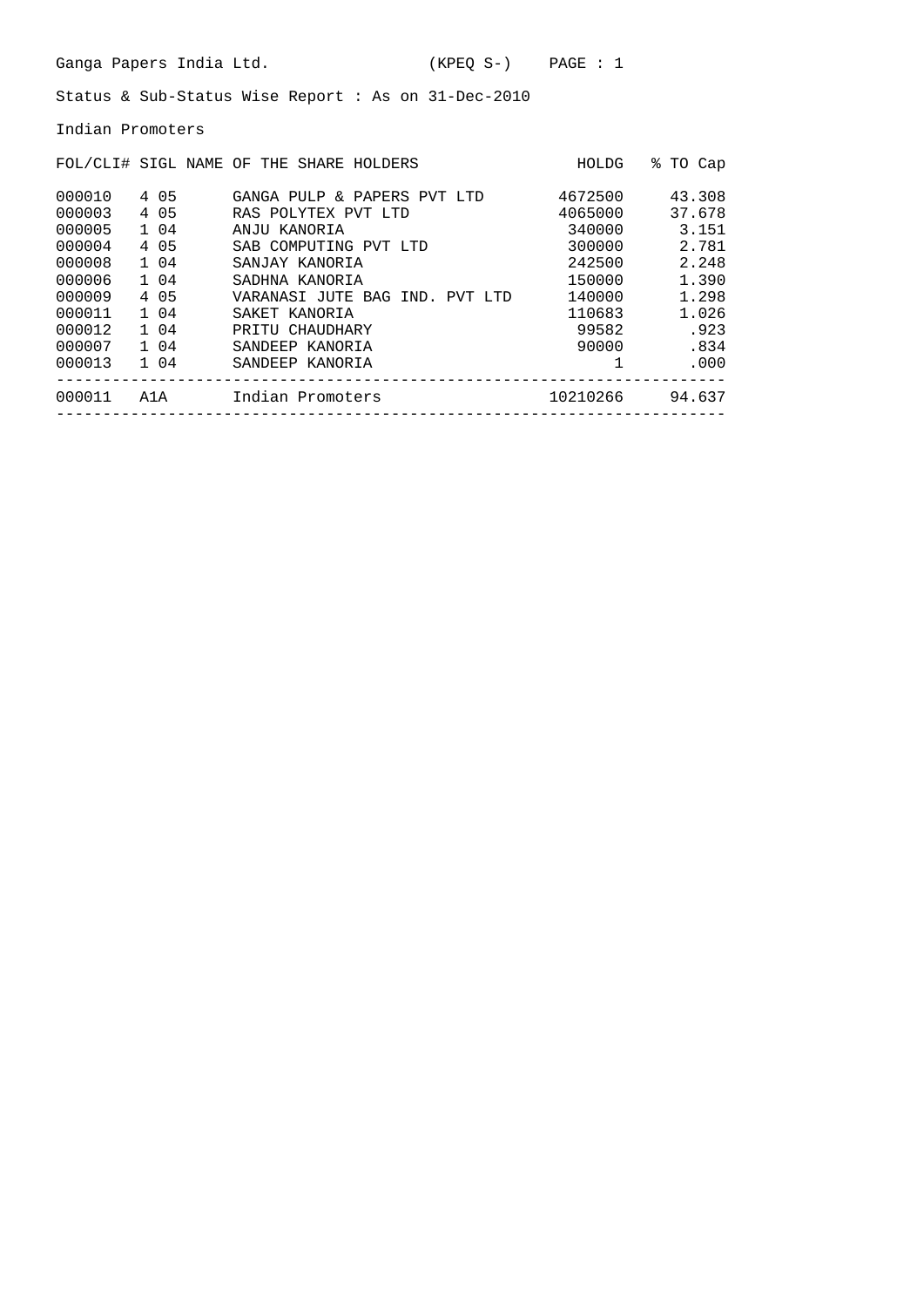Indian Promoters

|        |       | FOL/CLI# SIGL NAME OF THE SHARE HOLDERS | HOLDG    | ⊱<br>TO Cap |
|--------|-------|-----------------------------------------|----------|-------------|
| 000010 | 4 05  | GANGA PULP & PAPERS PVT LTD             | 4672500  | 43.308      |
| 000003 | 4 0 5 | RAS POLYTEX PVT LTD                     | 4065000  | 37.678      |
| 000005 | 1 04  | ANJU KANORIA                            | 340000   | 3.151       |
| 000004 | 4 05  | SAB COMPUTING PVT LTD                   | 300000   | 2.781       |
| 000008 | 1 04  | SANJAY KANORIA                          | 242500   | 2.248       |
| 000006 | 1 04  | SADHNA KANORIA                          | 150000   | 1.390       |
| 000009 | 4 05  | VARANASI JUTE BAG IND. PVT LTD          | 140000   | 1.298       |
| 000011 | 1 04  | SAKET KANORIA                           | 110683   | 1.026       |
| 000012 | 1 04  | PRITU CHAUDHARY                         | 99582    | .923        |
| 000007 | 1 04  | SANDEEP KANORIA                         | 90000    | .834        |
| 000013 | 1 04  | SANDEEP KANORIA                         |          | .000.       |
| 000011 | A1A   | Indian Promoters                        | 10210266 | 94.637      |
|        |       |                                         |          |             |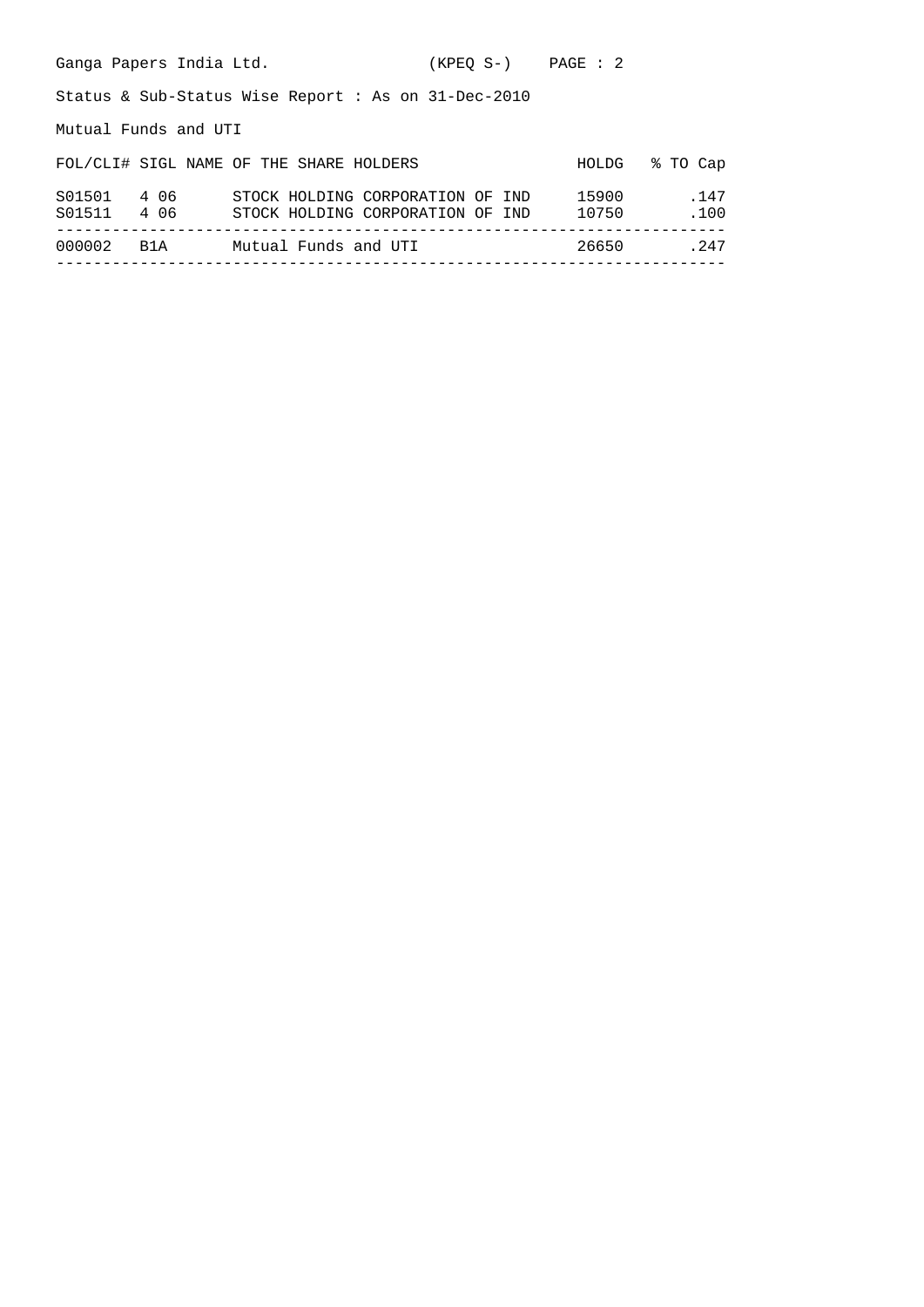| Ganga Papers India Ltd.                                |                                                                      | (KPEO S-) PAGE : 2 |                |              |  |  |  |  |  |
|--------------------------------------------------------|----------------------------------------------------------------------|--------------------|----------------|--------------|--|--|--|--|--|
| Status & Sub-Status Wise Report : As on $31$ -Dec-2010 |                                                                      |                    |                |              |  |  |  |  |  |
| Mutual Funds and UTI                                   |                                                                      |                    |                |              |  |  |  |  |  |
|                                                        | FOL/CLI# SIGL NAME OF THE SHARE HOLDERS                              |                    | HOLDG          | % TO Cap     |  |  |  |  |  |
| S01501 4 06<br>S01511 4 06                             | STOCK HOLDING CORPORATION OF IND<br>STOCK HOLDING CORPORATION OF IND |                    | 15900<br>10750 | .147<br>.100 |  |  |  |  |  |
| 000002<br>B1A                                          | Mutual Funds and UTI                                                 |                    | 26650          | .247         |  |  |  |  |  |
|                                                        |                                                                      |                    |                |              |  |  |  |  |  |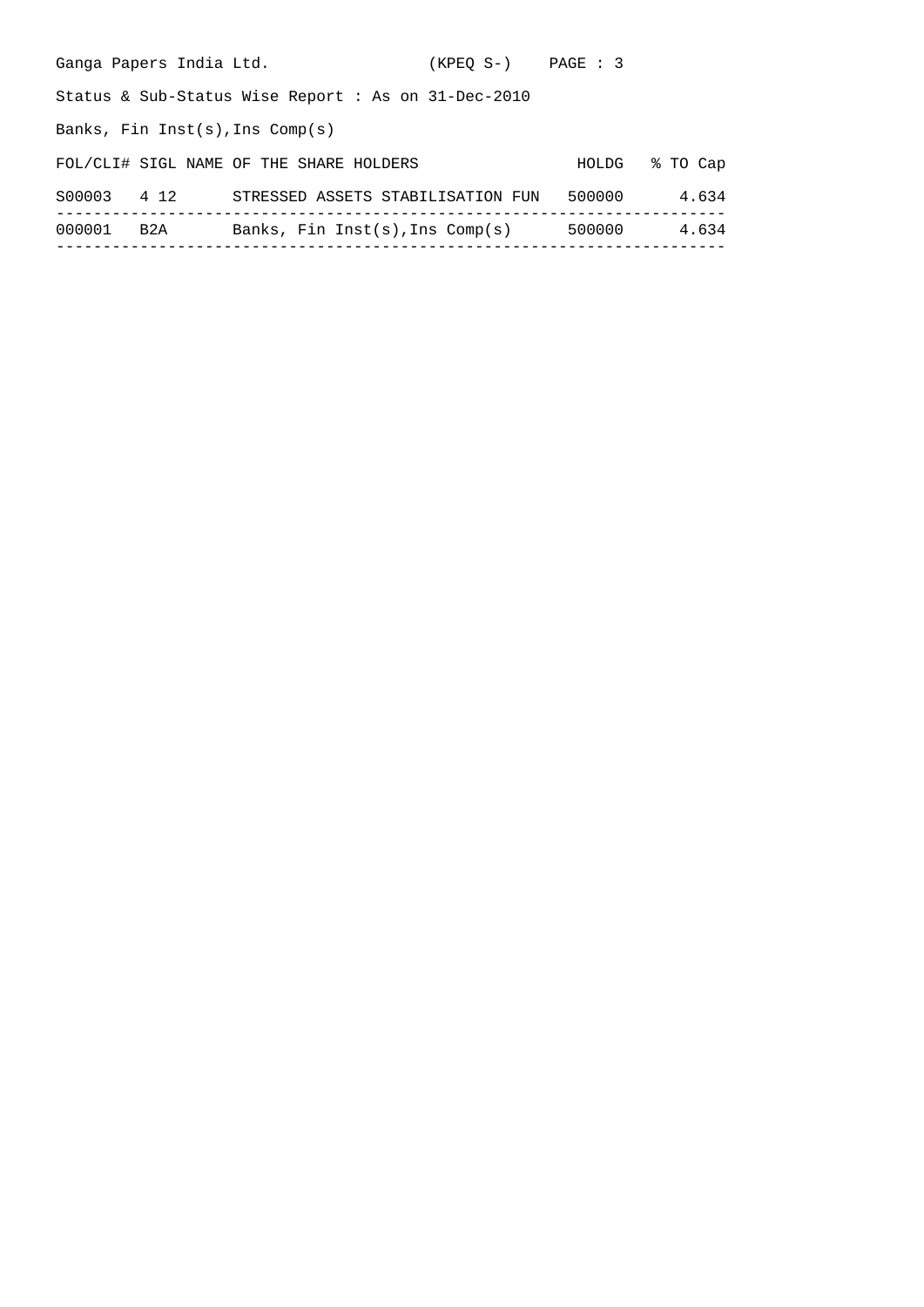| Ganga Papers India Ltd.           |                                                        | (KPEO S-) PAGE : 3 |        |          |
|-----------------------------------|--------------------------------------------------------|--------------------|--------|----------|
|                                   | Status & Sub-Status Wise Report : As on $31$ -Dec-2010 |                    |        |          |
| Banks, Fin Inst(s), Ins $Comp(s)$ |                                                        |                    |        |          |
|                                   | FOL/CLI# SIGL NAME OF THE SHARE HOLDERS                |                    | HOLDG  | % TO Cap |
| S00003<br>4 1 2                   | STRESSED ASSETS STABILISATION FUN                      |                    | 500000 | 4.634    |
| 000001<br>B2A                     | Banks, Fin Inst(s), Ins $Comp(s)$                      |                    | 500000 | 4.634    |
|                                   |                                                        |                    |        |          |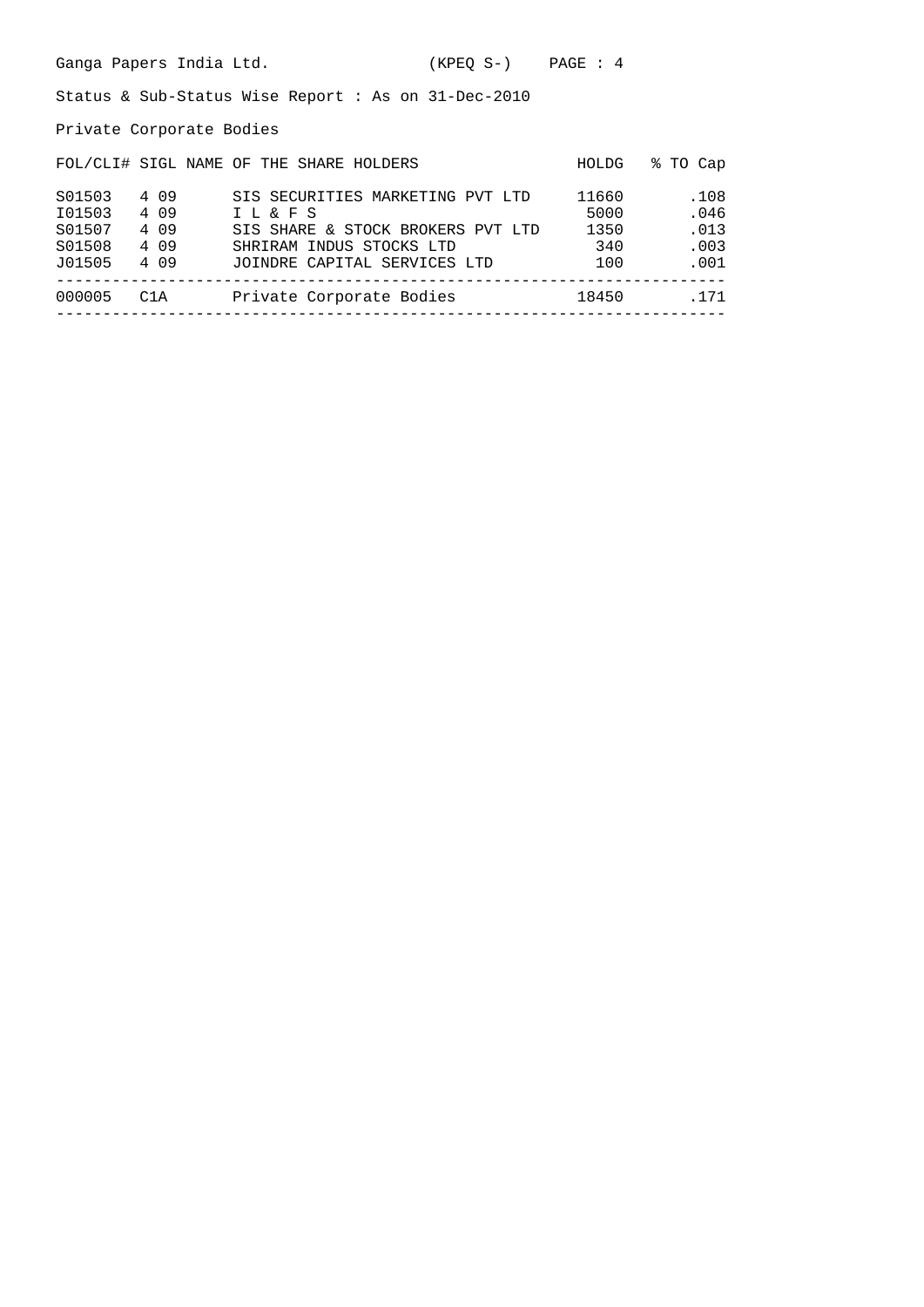Private Corporate Bodies

|                  |                | FOL/CLI# SIGL NAME OF THE SHARE HOLDERS                  | HOLDG         | % TO Cap     |
|------------------|----------------|----------------------------------------------------------|---------------|--------------|
| S01503<br>I01503 | 4 0 9<br>4 0 9 | SIS SECURITIES MARKETING PVT LTD<br>I L & F S            | 11660<br>5000 | .108<br>.046 |
| S01507           | 4 0 9          | SIS SHARE & STOCK BROKERS PVT LTD                        | 1350          | .013         |
| S01508<br>J01505 | 4 0 9<br>4 0 9 | SHRIRAM INDUS STOCKS LTD<br>JOINDRE CAPITAL SERVICES LTD | 340<br>100    | .003<br>.001 |
| 000005           | C1A            | Private Corporate Bodies                                 | 18450         | .171         |
|                  |                |                                                          |               |              |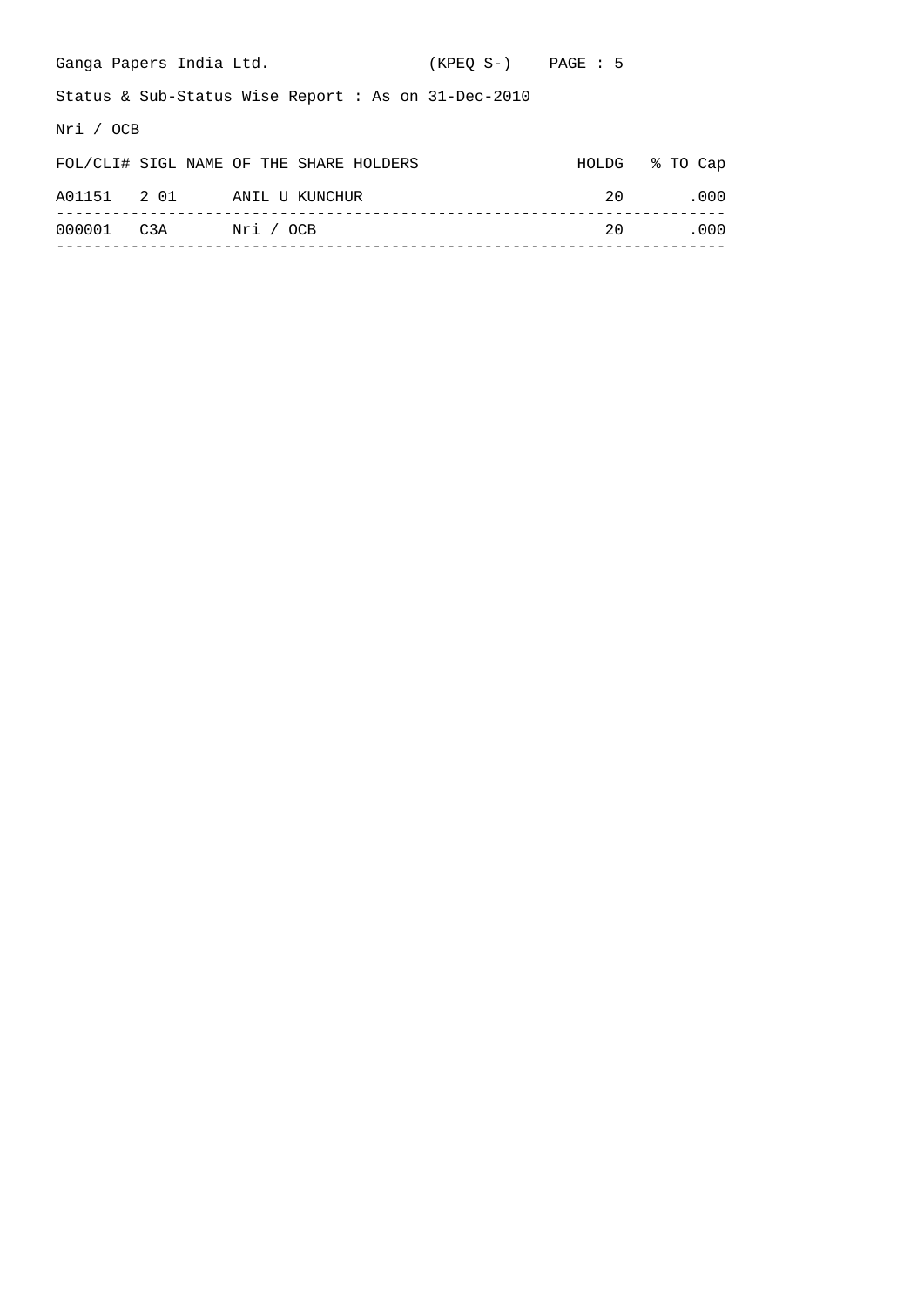| Ganga Papers India Ltd.    |                                                        | $(KPEO S-)$ PAGE : 5 |    |                |
|----------------------------|--------------------------------------------------------|----------------------|----|----------------|
|                            | Status & Sub-Status Wise Report : As on $31$ -Dec-2010 |                      |    |                |
| Nri / OCB                  |                                                        |                      |    |                |
|                            | FOL/CLI# SIGL NAME OF THE SHARE HOLDERS                |                      |    | HOLDG % TO Cap |
| A01151 2 01 ANIL U KUNCHUR |                                                        |                      | 20 | .000           |
| 000001                     | C3A Nri / OCB                                          |                      | 20 | .000           |
|                            |                                                        |                      |    |                |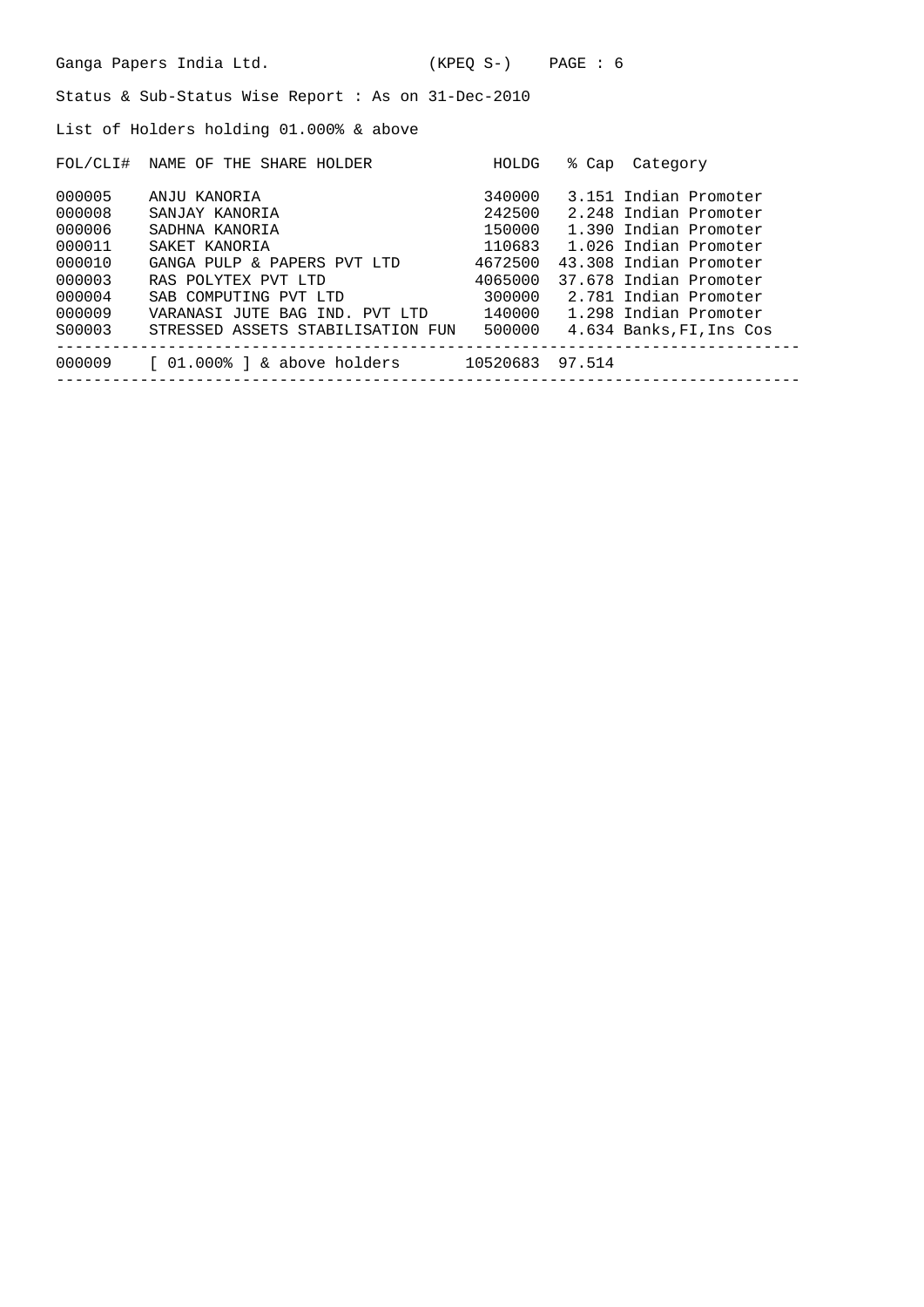List of Holders holding 01.000% & above

| FOL/CLI# | THE SHARE HOLDER<br>NAME OF       | HOLDG    | % Cap  | Category                 |
|----------|-----------------------------------|----------|--------|--------------------------|
| 000005   | ANJU KANORIA                      | 340000   |        | 3.151 Indian Promoter    |
| 000008   | SANJAY KANORIA                    | 242500   |        | 2.248 Indian Promoter    |
| 000006   | SADHNA KANORIA                    | 150000   |        | 1.390 Indian Promoter    |
| 000011   | SAKET KANORIA                     | 110683   |        | 1.026 Indian Promoter    |
| 000010   | GANGA PULP & PAPERS PVT LTD       | 4672500  |        | 43.308 Indian Promoter   |
| 000003   | RAS POLYTEX PVT LTD               | 4065000  |        | 37.678 Indian Promoter   |
| 000004   | SAB COMPUTING PVT LTD             | 300000   |        | 2.781 Indian Promoter    |
| 000009   | VARANASI JUTE BAG IND. PVT LTD    | 140000   |        | 1.298 Indian Promoter    |
| S00003   | STRESSED ASSETS STABILISATION FUN | 500000   |        | 4.634 Banks, FI, Ins Cos |
| 000009   | $[01.0008]$ & above holders       | 10520683 | 97.514 |                          |
|          |                                   |          |        |                          |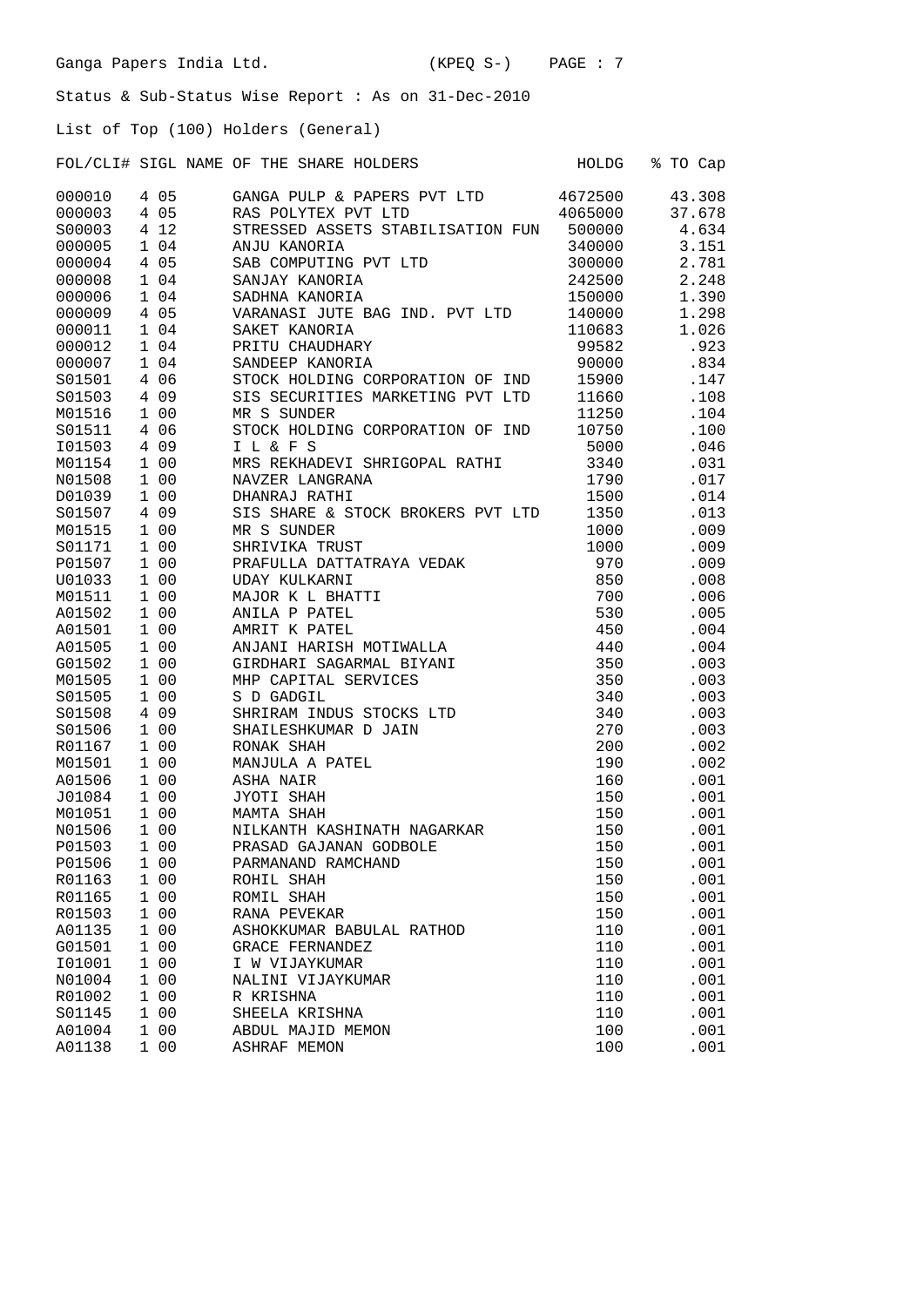List of Top (100) Holders (General)

| FOL/CLI# SIGL NAME OF THE SHARE HOLDERS |  |  |  | HOLDG % TO Cap |  |  |
|-----------------------------------------|--|--|--|----------------|--|--|

| 000010 | 4 0 5                          | GANGA PULP & PAPERS PVT LTD       | 4672500 | 43.308 |
|--------|--------------------------------|-----------------------------------|---------|--------|
| 000003 | 05<br>4                        | RAS POLYTEX PVT LTD               | 4065000 | 37.678 |
| S00003 | 4 1 2                          | STRESSED ASSETS STABILISATION FUN | 500000  | 4.634  |
| 000005 | 1 04                           | ANJU KANORIA                      | 340000  | 3.151  |
| 000004 | 4 0 5                          | SAB COMPUTING PVT LTD             | 300000  | 2.781  |
| 000008 | 1 04                           | SANJAY KANORIA                    | 242500  | 2.248  |
| 000006 | 1 04                           | SADHNA KANORIA                    | 150000  | 1.390  |
| 000009 | 4 0 5                          | VARANASI JUTE BAG IND. PVT LTD    | 140000  | 1.298  |
| 000011 | 1 04                           | SAKET KANORIA                     | 110683  | 1.026  |
| 000012 | 1 04                           | PRITU CHAUDHARY                   | 99582   | .923   |
| 000007 | 104                            | SANDEEP KANORIA                   | 90000   | .834   |
| S01501 | 06<br>4                        | STOCK HOLDING CORPORATION OF IND  | 15900   | .147   |
| S01503 | 4 0 9                          | SIS SECURITIES MARKETING PVT LTD  | 11660   | .108   |
| M01516 | 1 0 0                          | MR S SUNDER                       | 11250   | .104   |
| S01511 | 4 06                           | STOCK HOLDING CORPORATION OF IND  | 10750   | .100   |
| I01503 | 4 0 9                          | I L & F S                         | 5000    | .046   |
| M01154 | 1 00                           | MRS REKHADEVI SHRIGOPAL RATHI     | 3340    | .031   |
| N01508 | 1 0 0                          | NAVZER LANGRANA                   | 1790    | .017   |
| D01039 | 1 0 0                          | DHANRAJ RATHI                     | 1500    | .014   |
| S01507 | 4 0 9                          | SIS SHARE & STOCK BROKERS PVT LTD | 1350    | .013   |
| M01515 | 1 0 0                          | MR S SUNDER                       | 1000    | .009   |
| S01171 | 1 00                           | SHRIVIKA TRUST                    | 1000    | .009   |
| P01507 | 1 00                           | PRAFULLA DATTATRAYA VEDAK         | 970     | .009   |
| U01033 | 100                            | <b>UDAY KULKARNI</b>              | 850     | .008   |
| M01511 | 1 0 0                          | MAJOR K L BHATTI                  | 700     | .006   |
| A01502 | 1 00                           | ANILA P PATEL                     | 530     | .005   |
| A01501 | 1 0 0                          | AMRIT K PATEL                     | 450     | .004   |
| A01505 | 1 00                           | ANJANI HARISH MOTIWALLA           | 440     | .004   |
| G01502 | 1 00                           | GIRDHARI SAGARMAL BIYANI          | 350     | .003   |
| M01505 | 1 00                           | MHP CAPITAL SERVICES              | 350     | .003   |
| S01505 | 0 <sub>0</sub><br>1            | S D GADGIL                        | 340     | .003   |
| S01508 | 4 0 9                          | SHRIRAM INDUS STOCKS LTD          | 340     | .003   |
| S01506 | 1 0 0                          | SHAILESHKUMAR D JAIN              | 270     | .003   |
| R01167 | 1 00                           | RONAK SHAH                        | 200     | .002   |
| M01501 | 1 00                           | MANJULA A PATEL                   | 190     | .002   |
| A01506 | 1 0 0                          | ASHA NAIR                         | 160     | .001   |
| J01084 | 100                            | JYOTI SHAH                        | 150     | .001   |
| M01051 | 1 00                           | MAMTA SHAH                        | 150     | .001   |
| N01506 | 100                            | NILKANTH KASHINATH NAGARKAR       | 150     | .001   |
| P01503 | 1 00                           | PRASAD GAJANAN GODBOLE            | 150     | .001   |
| P01506 | 1 0 0                          | PARMANAND RAMCHAND                | 150     | .001   |
| R01163 | 1 0 0                          | ROHIL SHAH                        | 150     | .001   |
| R01165 | 0 <sub>0</sub><br>$\mathbf{1}$ | ROMIL SHAH                        | 150     | .001   |
| R01503 | 1 0 0                          | RANA PEVEKAR                      | 150     | .001   |
| A01135 | 0 <sub>0</sub><br>1            | ASHOKKUMAR BABULAL RATHOD         | 110     | .001   |
| G01501 | 0 <sub>0</sub><br>$\mathbf{1}$ | GRACE FERNANDEZ                   | 110     | .001   |
| I01001 | 1 0 0                          | I W VIJAYKUMAR                    | 110     | .001   |
| N01004 | 0 <sub>0</sub><br>$\mathbf{1}$ | NALINI VIJAYKUMAR                 | 110     | .001   |
| R01002 | 1 0 0                          | R KRISHNA                         | 110     | .001   |
| S01145 | 0 <sub>0</sub><br>$\mathbf{1}$ | SHEELA KRISHNA                    | 110     | .001   |
| A01004 | 1 0 0                          | ABDUL MAJID MEMON                 | 100     | .001   |
| A01138 | 1 0 0                          | <b>ASHRAF MEMON</b>               | 100     | .001   |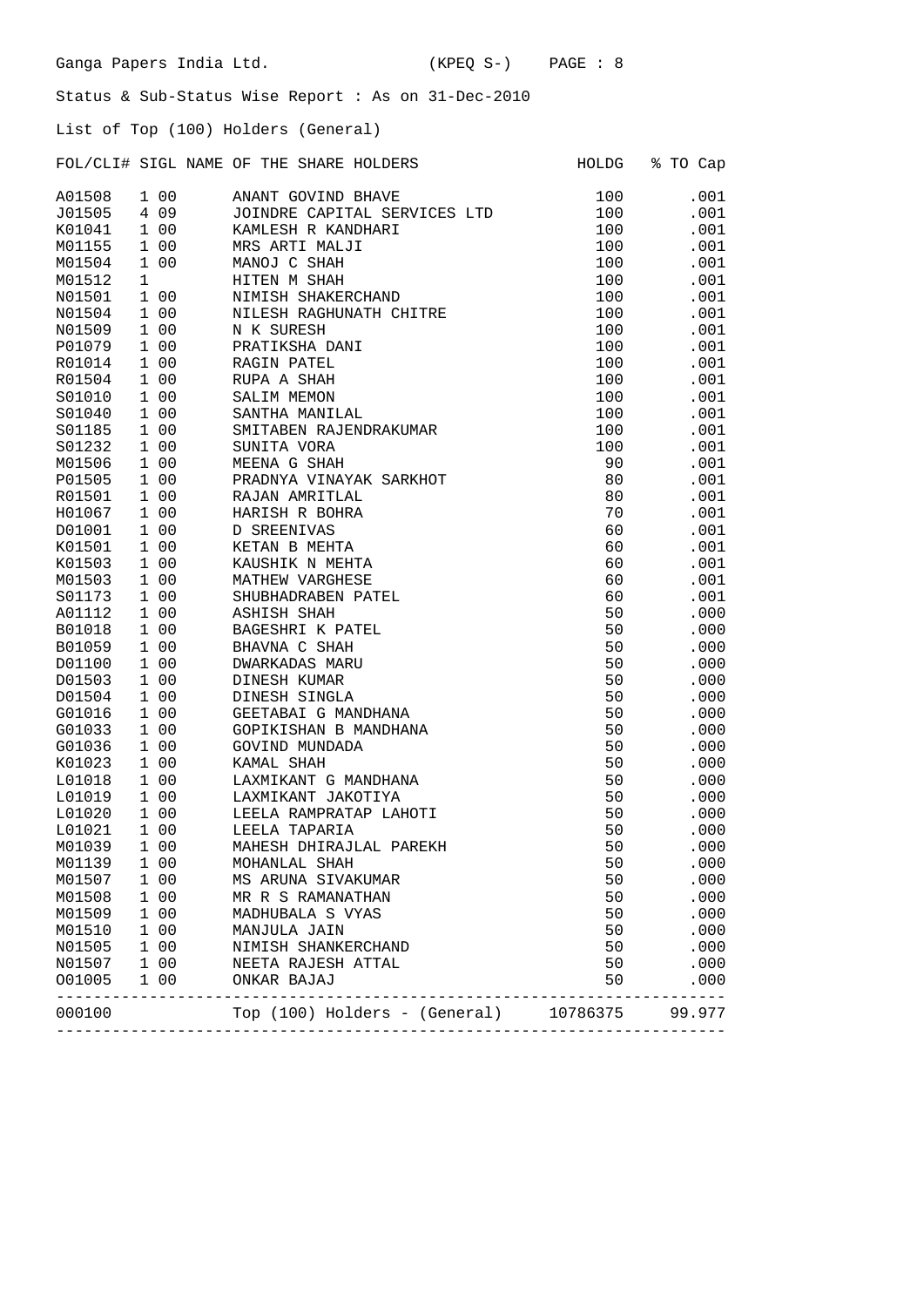List of Top (100) Holders (General)

|        |   |       | FOL/CLI# SIGL NAME OF THE SHARE HOLDERS | HOLDG | % TO Cap     |
|--------|---|-------|-----------------------------------------|-------|--------------|
| A01508 |   | 1 0 0 | ANANT GOVIND BHAVE                      | 100   | .001         |
| J01505 |   | 4 0 9 | JOINDRE CAPITAL SERVICES LTD            | 100   | .001         |
| K01041 |   | 1 0 0 | KAMLESH R KANDHARI                      | 100   | .001         |
| M01155 |   | 1 0 0 | MRS ARTI MALJI                          | 100   | .001         |
| M01504 |   | 1 0 0 | MANOJ C SHAH                            | 100   | .001         |
| M01512 | 1 |       | HITEN M SHAH                            | 100   | .001         |
| N01501 |   | 1 0 0 | NIMISH SHAKERCHAND                      | 100   | .001         |
| N01504 |   | 1 00  | NILESH RAGHUNATH CHITRE                 | 100   | .001         |
| N01509 |   | 1 00  | N K SURESH                              | 100   | .001         |
| P01079 |   | 1 0 0 | PRATIKSHA DANI                          | 100   | .001         |
| R01014 |   | 1 0 0 | RAGIN PATEL                             | 100   | .001         |
| R01504 |   | 1 0 0 | RUPA A SHAH                             | 100   | .001         |
| S01010 |   | 1 0 0 | SALIM MEMON                             | 100   | .001         |
| S01040 |   | 1 0 0 | SANTHA MANILAL                          | 100   | .001         |
| S01185 |   | 1 0 0 | SMITABEN RAJENDRAKUMAR                  | 100   |              |
|        |   | 1 0 0 |                                         |       | .001         |
| S01232 |   |       | SUNITA VORA                             | 100   | .001<br>.001 |
| M01506 |   | 1 00  | MEENA G SHAH                            | 90    |              |
| P01505 |   | 1 00  | PRADNYA VINAYAK SARKHOT                 | 80    | .001         |
| R01501 |   | 1 00  | RAJAN AMRITLAL                          | 80    | .001         |
| H01067 |   | 1 0 0 | HARISH R BOHRA                          | 70    | .001         |
| D01001 |   | 1 0 0 | <b>D SREENIVAS</b>                      | 60    | .001         |
| K01501 |   | 1 0 0 | KETAN B MEHTA                           | 60    | .001         |
| K01503 |   | 1 0 0 | KAUSHIK N MEHTA                         | 60    | .001         |
| M01503 |   | 1 0 0 | MATHEW VARGHESE                         | 60    | .001         |
| S01173 |   | 1 0 0 | SHUBHADRABEN PATEL                      | 60    | .001         |
| A01112 |   | 1 0 0 | ASHISH SHAH                             | 50    | .000         |
| B01018 |   | 1 0 0 | BAGESHRI K PATEL                        | 50    | .000         |
| B01059 |   | 1 0 0 | BHAVNA C SHAH                           | 50    | .000         |
| D01100 |   | 1 0 0 | DWARKADAS MARU                          | 50    | .000         |
| D01503 |   | 1 0 0 | DINESH KUMAR                            | 50    | .000         |
| D01504 |   | 1 0 0 | DINESH SINGLA                           | 50    | .000         |
| G01016 |   | 1 0 0 | GEETABAI G MANDHANA                     | 50    | .000         |
| G01033 |   | 1 0 0 | GOPIKISHAN B MANDHANA                   | 50    | .000         |
| G01036 |   | 1 0 0 | GOVIND MUNDADA                          | 50    | .000         |
| K01023 |   | 1 0 0 | KAMAL SHAH                              | 50    | .000         |
| L01018 |   | 1 0 0 | LAXMIKANT G MANDHANA                    | 50    | .000         |
| L01019 |   | 1 00  | LAXMIKANT JAKOTIYA                      | 50    | .000         |
| L01020 |   | 1 0 0 | LEELA RAMPRATAP LAHOTI                  | 50    | .000         |
| L01021 |   | 1 0 0 | LEELA TAPARIA                           | 50    | .000         |
| M01039 |   | 1 0 0 | MAHESH DHIRAJLAL PAREKH                 | 50    | .000         |
| M01139 |   | 1 0 0 | MOHANLAL SHAH                           | 50    | .000         |
| M01507 |   | 1 0 0 | MS ARUNA SIVAKUMAR                      | 50    | .000         |
| M01508 |   | 1 00  | MR R S RAMANATHAN                       | 50    | .000         |
| M01509 |   | 1 0 0 | MADHUBALA S VYAS                        | 50    | .000         |
| M01510 |   | 1 00  | MANJULA JAIN                            | 50    | .000         |
| N01505 |   | 1 00  | NIMISH SHANKERCHAND                     | 50    | .000         |
| N01507 |   | 1 00  | NEETA RAJESH ATTAL                      | 50    | .000         |
| 001005 |   | 1 0 0 | ONKAR BAJAJ                             | 50    | .000         |
| 000100 |   |       | Top (100) Holders - (General) 10786375  |       | 99.977       |
|        |   |       |                                         |       |              |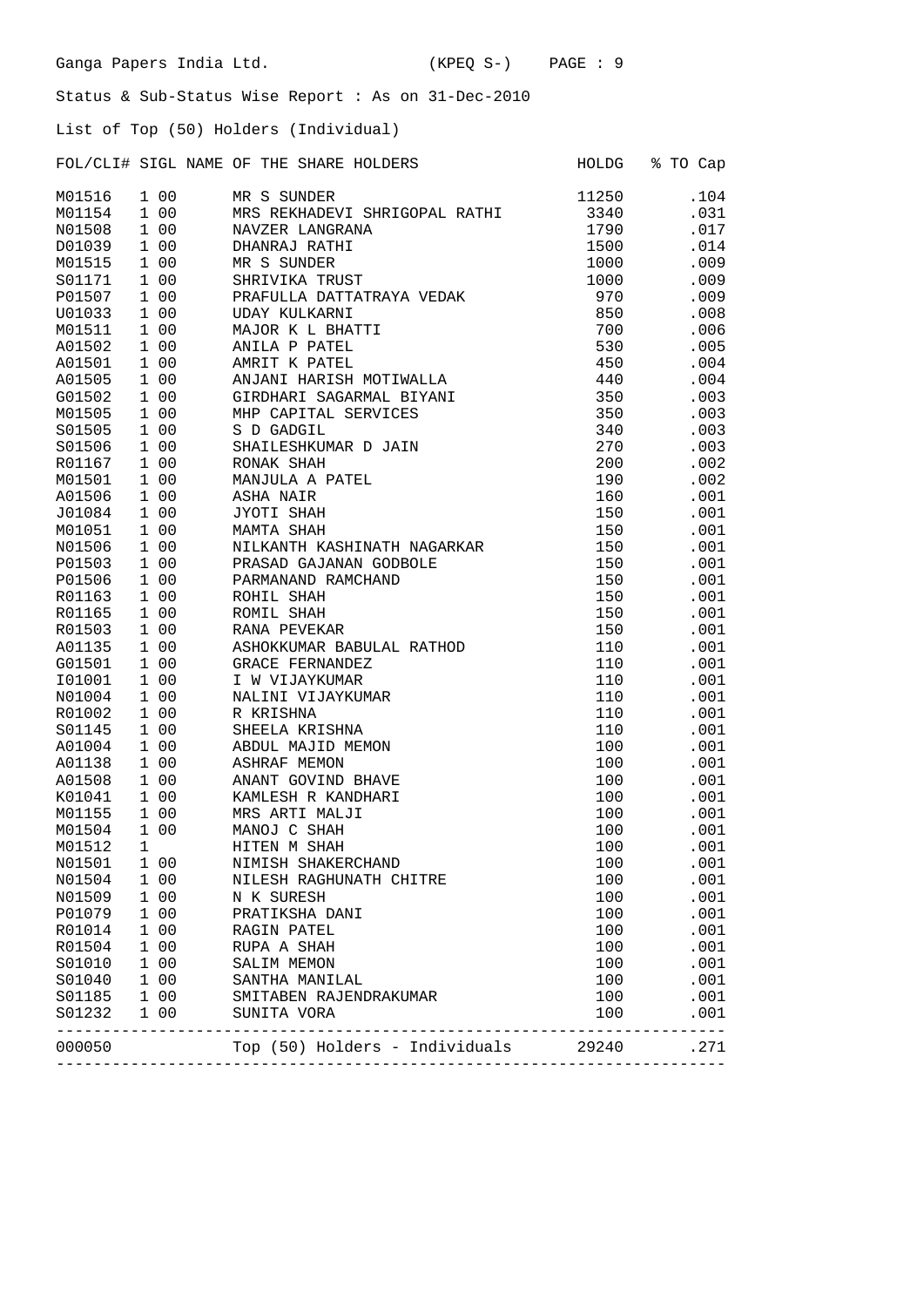List of Top (50) Holders (Individual)

FOL/CLI# SIGL NAME OF THE SHARE HOLDERS FOLD HOLDG % TO Cap

| M01516 |   | 1 00  | MR S SUNDER                          | 11250            | .104 |
|--------|---|-------|--------------------------------------|------------------|------|
| M01154 |   | 1 0 0 | MRS REKHADEVI SHRIGOPAL RATHI        | 3340             | .031 |
| N01508 |   | 1 0 0 | NAVZER LANGRANA                      | 1790             | .017 |
| D01039 |   | 1 0 0 | DHANRAJ RATHI                        | 1500             | .014 |
| M01515 |   | 1 00  | MR S SUNDER                          | 1000             | .009 |
| S01171 |   | 1 0 0 | SHRIVIKA TRUST                       | 1000             | .009 |
| P01507 |   | 1 0 0 | PRAFULLA DATTATRAYA VEDAK            | 970              | .009 |
| U01033 |   | 1 00  | <b>UDAY KULKARNI</b>                 | 850              | .008 |
| M01511 |   | 1 00  | MAJOR K L BHATTI                     | 700              | .006 |
| A01502 |   | 1 0 0 | ANILA P PATEL                        | 530              | .005 |
| A01501 |   | 1 0 0 | AMRIT K PATEL                        | 450              | .004 |
| A01505 |   | 1 0 0 | ANJANI HARISH MOTIWALLA              | 440              | .004 |
| G01502 |   | 1 0 0 | GIRDHARI SAGARMAL BIYANI             | 350              | .003 |
| M01505 |   | 1 00  | MHP CAPITAL SERVICES                 | 350              | .003 |
| S01505 |   | 1 00  | S D GADGIL                           | 340              | .003 |
| S01506 |   | 1 0 0 | SHAILESHKUMAR D JAIN                 | 270              | .003 |
| R01167 |   | 1 0 0 | RONAK SHAH                           | 200              | .002 |
| M01501 |   | 1 0 0 | MANJULA A PATEL                      | 190              | .002 |
| A01506 |   | 1 0 0 | ASHA NAIR                            | 160              | .001 |
| J01084 |   | 1 0 0 | JYOTI SHAH                           | 150              | .001 |
| M01051 |   | 1 0 0 | MAMTA SHAH                           | 150              | .001 |
| N01506 |   | 1 0 0 | NILKANTH KASHINATH NAGARKAR          | 150              | .001 |
| P01503 |   | 1 0 0 | PRASAD GAJANAN GODBOLE               | 150              | .001 |
| P01506 |   | 1 00  | PARMANAND RAMCHAND                   |                  |      |
|        |   | 1 0 0 | ROHIL SHAH                           | 150<br>150       | .001 |
| R01163 |   |       |                                      |                  | .001 |
| R01165 |   | 1 0 0 | ROMIL SHAH                           | 150              | .001 |
| R01503 |   | 1 0 0 | RANA PEVEKAR                         | 150              | .001 |
| A01135 |   | 1 00  | ASHOKKUMAR BABULAL RATHOD            | 110              | .001 |
| G01501 |   | 1 0 0 | GRACE FERNANDEZ                      | 110              | .001 |
| I01001 |   | 1 0 0 | I W VIJAYKUMAR                       | 110              | .001 |
| N01004 |   | 1 0 0 | NALINI VIJAYKUMAR                    | 110              | .001 |
| R01002 |   | 1 00  | R KRISHNA                            | 110              | .001 |
| S01145 |   | 1 00  | SHEELA KRISHNA                       | 110              | .001 |
| A01004 |   | 1 00  | ABDUL MAJID MEMON                    | 100              | .001 |
| A01138 |   | 1 0 0 | <b>ASHRAF MEMON</b>                  | 100              | .001 |
| A01508 |   | 1 0 0 | ANANT GOVIND BHAVE                   | 100              | .001 |
| K01041 |   | 1 0 0 | KAMLESH R KANDHARI                   | 100              | .001 |
| M01155 |   | 1 00  | MRS ARTI MALJI                       | 100              | .001 |
| M01504 |   | 1 00  | MANOJ C SHAH                         | 100              | .001 |
| M01512 | 1 |       | HITEN M SHAH                         | 100              | .001 |
| N01501 |   | 1 00  | NIMISH SHAKERCHAND                   | 100              | .001 |
| N01504 |   | 1 00  | NILESH RAGHUNATH CHITRE              | 100              | .001 |
| N01509 |   | 1 0 0 | N K SURESH                           | 100              | .001 |
| P01079 |   | 1 00  | PRATIKSHA DANI                       | 100              | .001 |
| R01014 |   | 1 00  | RAGIN PATEL                          | 100              | .001 |
| R01504 |   | 1 0 0 | RUPA A SHAH                          | 100              | .001 |
| S01010 |   | 1 0 0 | SALIM MEMON                          | 100              | .001 |
| S01040 |   | 1 00  | SANTHA MANILAL                       | 100              | .001 |
| S01185 |   | 1 0 0 | SMITABEN RAJENDRAKUMAR               | 100              | .001 |
| S01232 |   | 1 0 0 | SUNITA VORA<br>___________________   | 100<br>--------- | .001 |
| 000050 |   |       | Top (50) Holders - Individuals 29240 |                  | .271 |
|        |   |       |                                      |                  |      |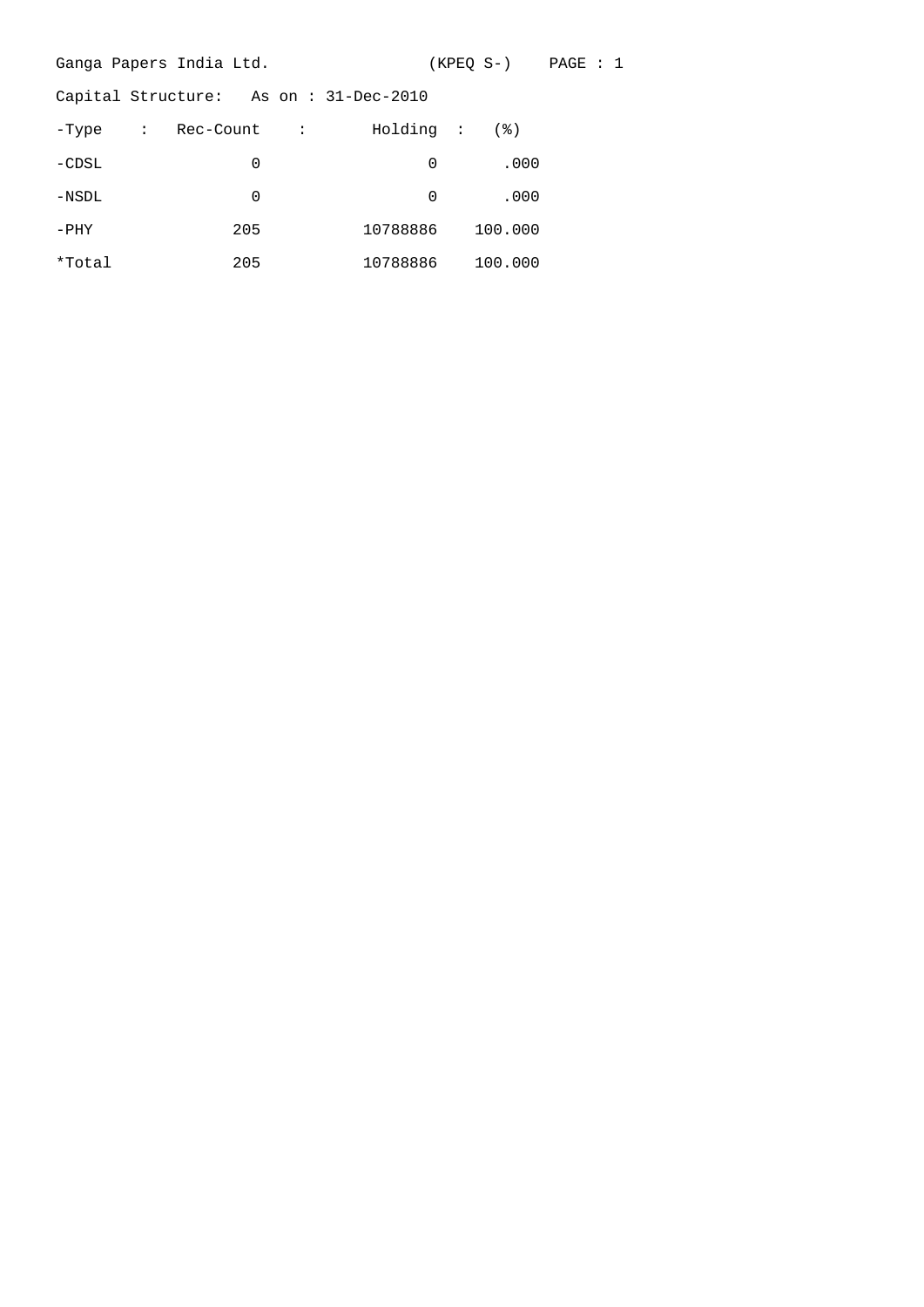|         | Ganga Papers India Ltd.               |           | (KPEQ S-) PAGE : 1 |
|---------|---------------------------------------|-----------|--------------------|
|         | Capital Structure: As on: 31-Dec-2010 |           |                    |
| -Type   | : Rec-Count :                         | Holding : | (응)                |
| $-CDSL$ | 0                                     | $\Omega$  | .000               |
| $-NSDL$ | 0                                     | $\Omega$  | .000               |
| $-PHY$  | 205                                   | 10788886  | 100.000            |
| *Total  | 205                                   | 10788886  | 100.000            |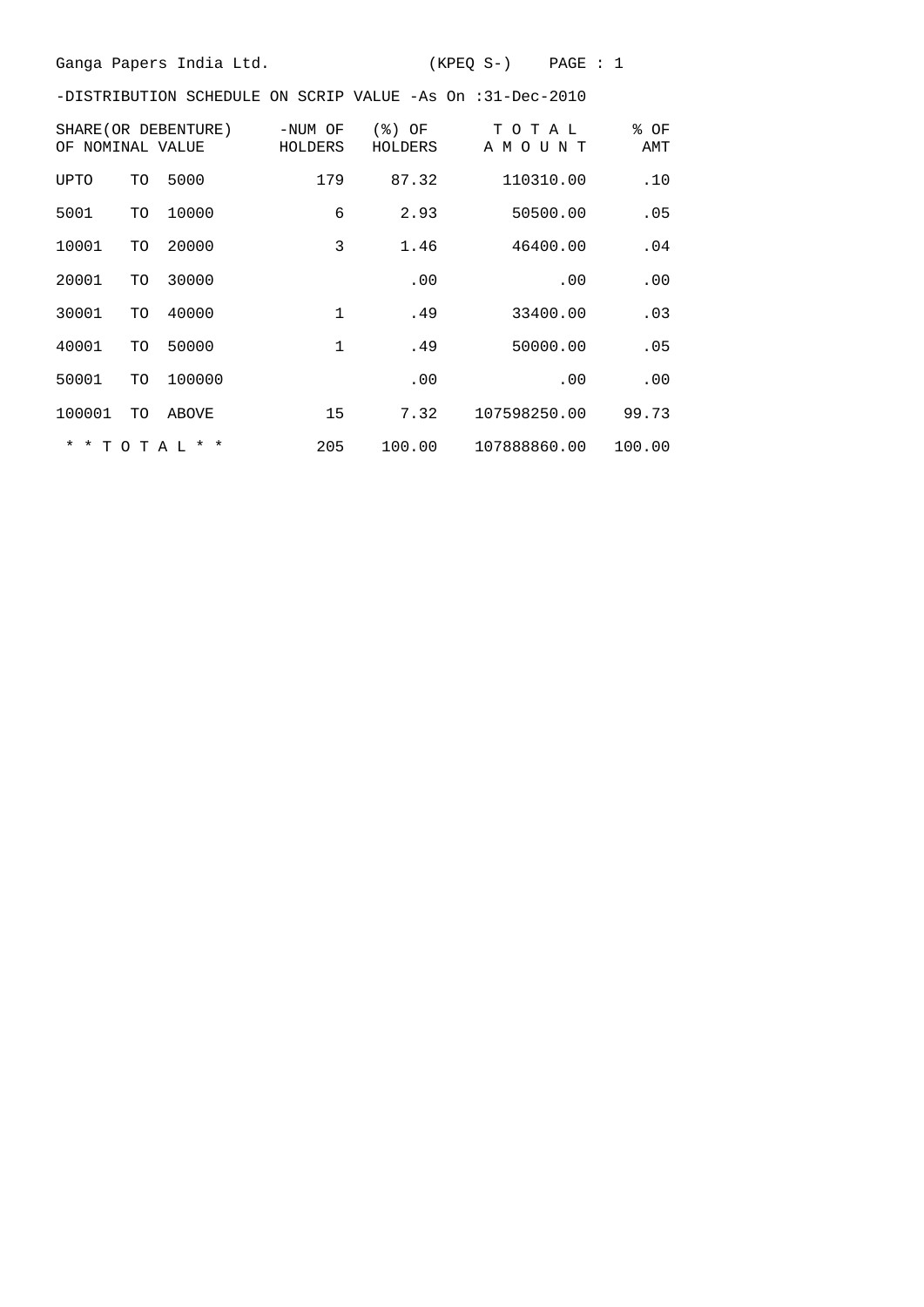Ganga Papers India Ltd. (KPEQ S-) PAGE : 1

-DISTRIBUTION SCHEDULE ON SCRIP VALUE -As On :31-Dec-2010

| OF NOMINAL VALUE |    | SHARE (OR DEBENTURE) | -NUM OF<br>HOLDERS | (응)<br>ΟF<br>HOLDERS | ТОТАЬ<br>A M O U<br>N T | % OF<br>AMT |
|------------------|----|----------------------|--------------------|----------------------|-------------------------|-------------|
| UPTO             | TO | 5000                 | 179                | 87.32                | 110310.00               | .10         |
| 5001             | TO | 10000                | 6                  | 2.93                 | 50500.00                | .05         |
| 10001            | TO | 20000                | 3                  | 1.46                 | 46400.00                | .04         |
| 20001            | TO | 30000                |                    | .00                  | .00                     | .00         |
| 30001            | TO | 40000                | 1                  | .49                  | 33400.00                | .03         |
| 40001            | TO | 50000                | $\mathbf{1}$       | .49                  | 50000.00                | .05         |
| 50001            | TO | 100000               |                    | .00                  | .00                     | .00         |
| 100001           | TO | ABOVE                | 15                 | 7.32                 | 107598250.00            | 99.73       |
|                  |    | * * T O T A L * *    | 205                | 100.00               | 107888860.00            | 100.00      |